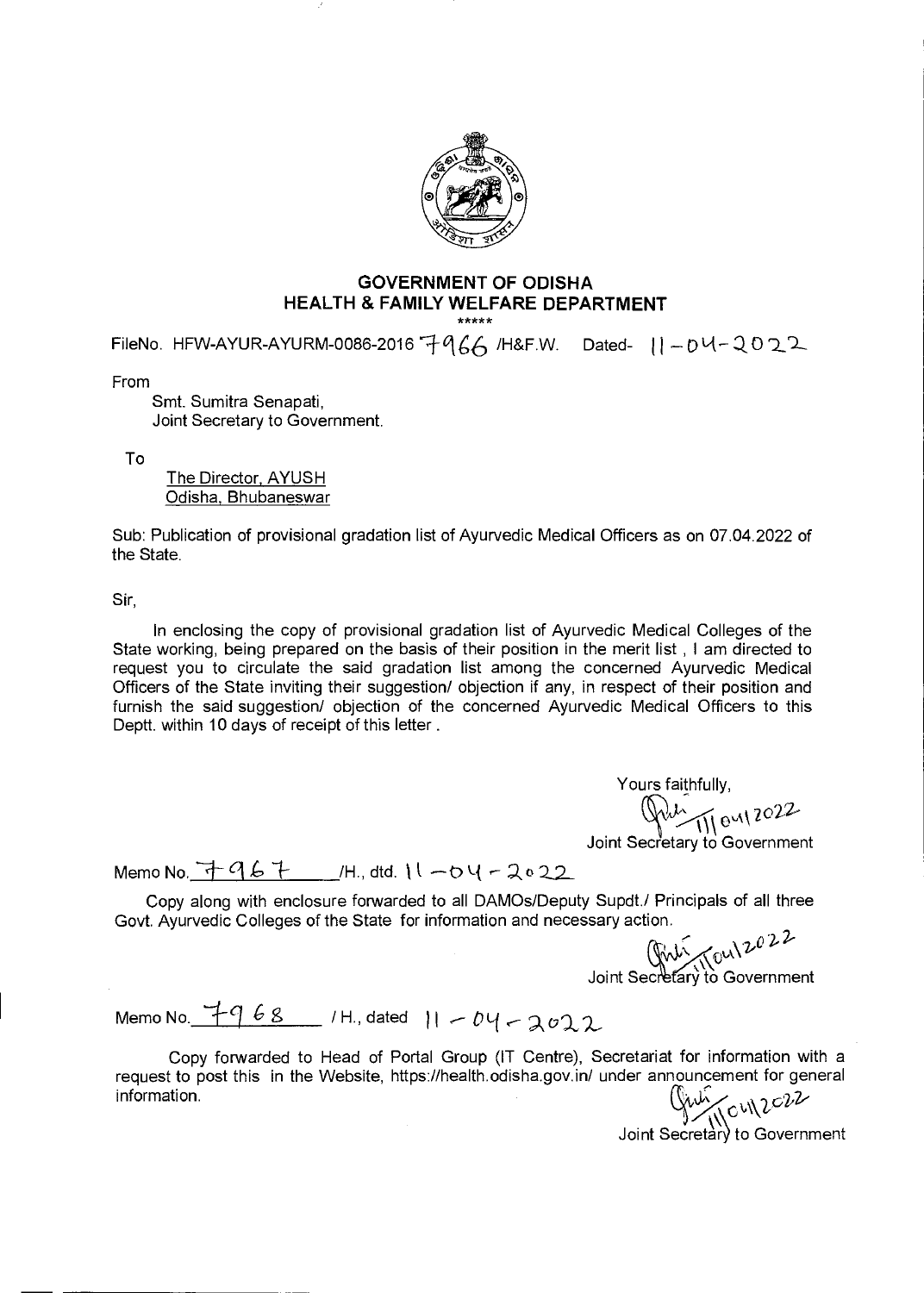

## **GOVERNMENT OF ODISHA HEALTH & FAMILY WELFARE DEPARTMENT**

FileNo. HFW-AYUR-AYURM-0086-2016  $7966$  /H&F.W. Dated-  $11 - 04 - 2022$ 

From

Smt. Sumitra Senapati, Joint Secretary to Government.

To

The Director, AYUSH Odisha, Bhubaneswar

Sub: Publication of provisional gradation list of Ayurvedic Medical Officers as on 07.04.2022 of the State.

Sir,

In enclosing the copy of provisional gradation list of Ayurvedic Medical Colleges of the State working, being prepared on the basis of their position in the merit list , I am directed to request you to circulate the said gradation list among the concerned Ayurvedic Medical Officers of the State inviting their suggestion/ objection if any, in respect of their position and furnish the said suggestion/ objection of the concerned Ayurvedic Medical Officers to this Deptt. within 10 days of receipt of this letter.

> Yours faithfully,<br> $\sqrt{222}$ Joint Secretary to Government

Memo No.  $7967$   $M.,$  dtd.  $11 - 04 - 2022$ 

Copy along with enclosure forwarded to all DAMOs/Deputy Supdt./ Principals of all three<br>Govt. Ayurvedic Colleges of the State for information and necessary action.<br>  $\int_{\text{VVV}}$ 

Joint Secretary to Government

Memo No.  $7968$  / H., dated  $11 - 04 - 2022$ 

Copy forwarded to Head of Portal Group (IT Centre), Secretariat for information with a request to post this in the Website, https://health.odisha.gov.in/ under announcement for general information.  $\left(\int u \mu \right)_{\text{2}} \text{d}u$ 

Joint Secretary to Government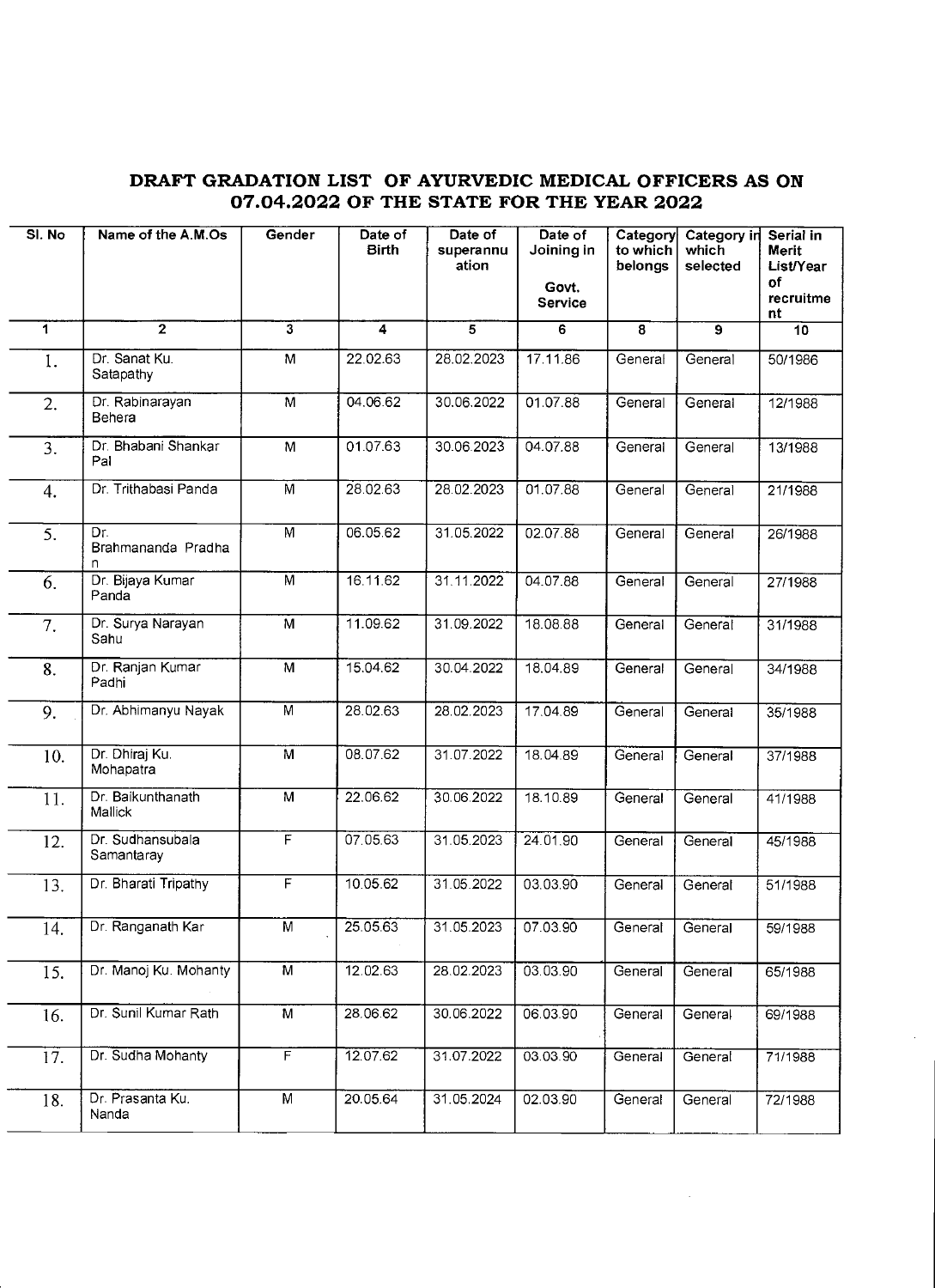## **DRAFT GRADATION LIST OF AYURVEDIC MEDICAL OFFICERS AS ON 07.04.2022 OF THE STATE FOR THE YEAR 2022**

| SI. No | Name of the A.M.Os             | Gender                  | Date of<br>Birth | Date of<br>superannu<br>ation | Date of<br>Joining in<br>Govt.<br>Service | Category<br>to which<br>belongs | Category in<br>which<br>selected | Serial in<br><b>Merit</b><br>List/Year<br>оf<br>recruitme<br>nt |
|--------|--------------------------------|-------------------------|------------------|-------------------------------|-------------------------------------------|---------------------------------|----------------------------------|-----------------------------------------------------------------|
| 1      | $\mathbf{z}$                   | $\mathbf{3}$            | 4                | $\overline{\mathbf{5}}$       | 6                                         | 8                               | 9                                | 10                                                              |
| 1.     | Dr. Sanat Ku.<br>Satapathy     | M                       | 22.02.63         | 28.02.2023                    | 17.11.86                                  | General                         | General                          | 50/1986                                                         |
| 2.     | Dr. Rabinarayan<br>Behera      | $\overline{\mathsf{M}}$ | 04.06.62         | 30.06.2022                    | 01.07.88                                  | General                         | General                          | 12/1988                                                         |
| 3.     | Dr. Bhabani Shankar<br>Pal     | M                       | 01.07.63         | 30.06.2023                    | 04.07.88                                  | General                         | General                          | 13/1988                                                         |
| 4.     | Dr. Trithabasi Panda           | M                       | 28.02.63         | 28.02.2023                    | 01.07.88                                  | General                         | General                          | 21/1988                                                         |
| 5.     | Dr.<br>Brahmananda Pradha<br>n | M                       | 06.05.62         | 31.05.2022                    | 02.07.88                                  | General                         | General                          | 26/1988                                                         |
| 6.     | Dr. Bijaya Kumar<br>Panda      | $\overline{M}$          | 16.11.62         | 31.11.2022                    | 04.07.88                                  | General                         | General                          | 27/1988                                                         |
| 7.     | Dr. Surya Narayan<br>Sahu      | M                       | 11.09.62         | 31.09.2022                    | 18.08.88                                  | General                         | General                          | 31/1988                                                         |
| 8.     | Dr. Ranjan Kumar<br>Padhi      | M                       | 15.04.62         | 30.04.2022                    | 18.04.89                                  | General                         | General                          | 34/1988                                                         |
| 9.     | Dr. Abhimanyu Nayak            | $\overline{M}$          | 28.02.63         | 28.02.2023                    | 17.04.89                                  | General                         | General                          | 35/1988                                                         |
| 10.    | Dr. Dhiraj Ku.<br>Mohapatra    | M                       | 08.07.62         | 31.07.2022                    | 18.04.89                                  | General                         | General                          | 37/1988                                                         |
| 11.    | Dr. Baikunthanath<br>Mallick   | M                       | 22.06.62         | 30.06.2022                    | 18.10.89                                  | General                         | General                          | 41/1988                                                         |
| 12.    | Dr. Sudhansubala<br>Samantaray | F                       | 07.05.63         | 31.05.2023                    | 24.01.90                                  | General                         | General                          | 45/1988                                                         |
| 13.    | Dr. Bharati Tripathy           | $\overline{F}$          | 10.05.62         | 31.05.2022                    | 03.03.90                                  | General                         | General                          | 51/1988                                                         |
| 14.    | Dr. Ranganath Kar              | M                       | 25.05.63         | 31.05.2023                    | 07.03.90                                  | General General                 |                                  | 59/1988                                                         |
| 15.    | Dr. Manoj Ku. Mohanty          | $\overline{M}$          | 12.02.63         | 28.02.2023                    | 03.03.90                                  | General                         | General                          | 65/1988                                                         |
| 16.    | Dr. Sunil Kumar Rath           | M                       | 28.06.62         | 30.06.2022                    | 06.03.90                                  | General                         | General                          | 69/1988                                                         |
| 17.    | Dr. Sudha Mohanty              | $\overline{F}$          | 12.07.62         | 31.07.2022                    | 03.03.90                                  | General                         | General                          | 71/1988                                                         |
| 18.    | Dr. Prasanta Ku.<br>Nanda      | M                       | 20.05.64         | 31.05.2024                    | 02.03.90                                  | General                         | General                          | 72/1988                                                         |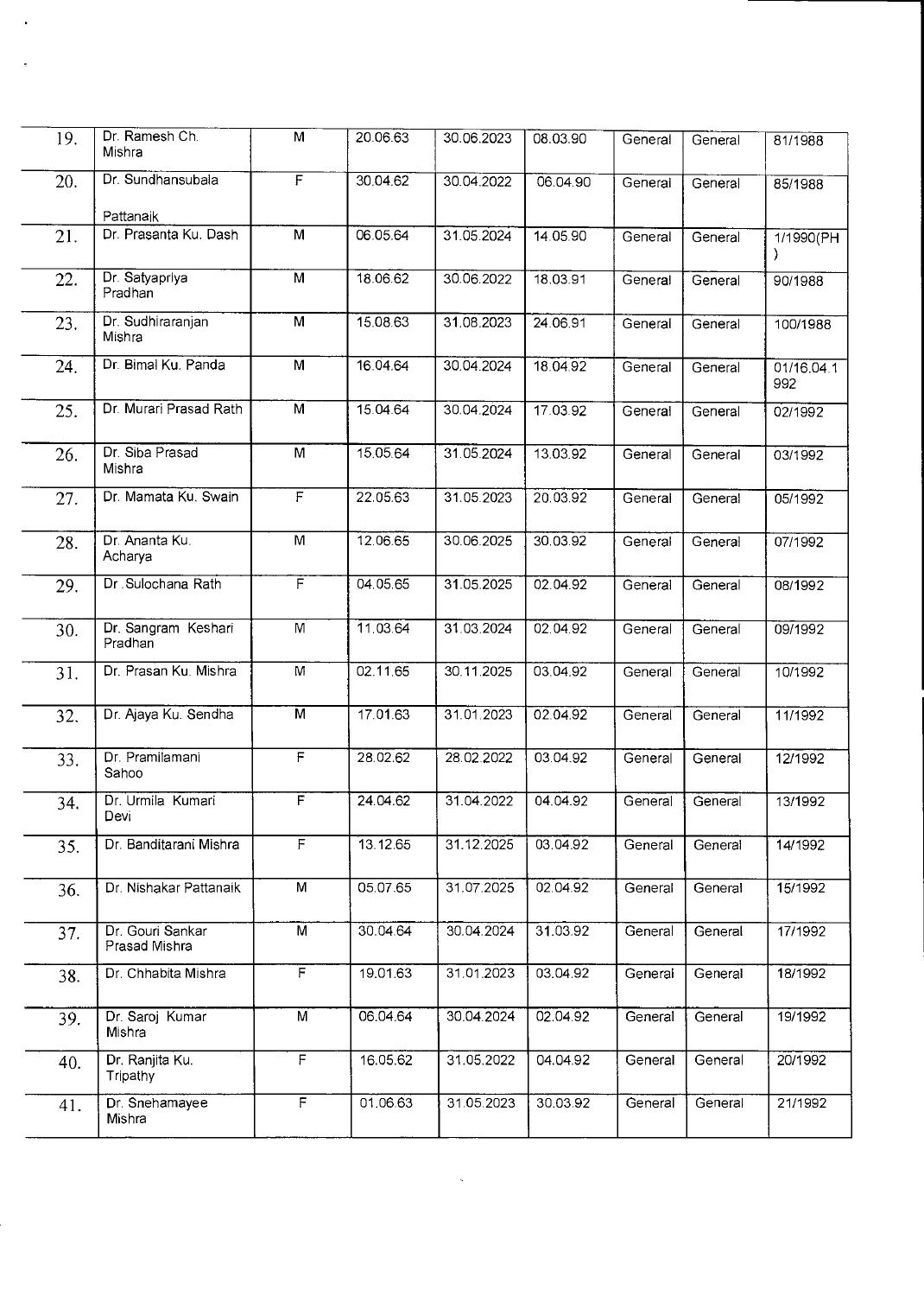| 19. | Dr. Ramesh Ch.<br>Mishra          | M                       | 20.06.63 | 30.06.2023 | 08.03.90 | General | General | 81/1988           |
|-----|-----------------------------------|-------------------------|----------|------------|----------|---------|---------|-------------------|
| 20. | Dr. Sundhansubala<br>Pattanaik    | $\overline{F}$          | 30.04.62 | 30.04.2022 | 06.04.90 | General | General | 85/1988           |
| 21. | Dr. Prasanta Ku. Dash             | M                       | 06.05.64 | 31.05.2024 | 14.05.90 | General | General | 1/1990(PH         |
| 22. | Dr. Satyapriya<br>Pradhan         | M                       | 18.06.62 | 30.06.2022 | 18.03.91 | General | General | 90/1988           |
| 23. | Dr. Sudhiraranjan<br>Mishra       | M                       | 15.08.63 | 31.08.2023 | 24.06.91 | General | General | 100/1988          |
| 24. | Dr. Bimal Ku. Panda               | $\overline{M}$          | 16.04.64 | 30.04.2024 | 18.04.92 | General | General | 01/16.04.1<br>992 |
| 25. | Dr. Murari Prasad Rath            | M                       | 15.04.64 | 30.04.2024 | 17.03.92 | General | General | 02/1992           |
| 26. | Dr. Siba Prasad<br>Mishra         | M                       | 15.05.64 | 31.05.2024 | 13.03.92 | General | General | 03/1992           |
| 27. | Dr. Mamata Ku. Swain              | $\overline{\mathsf{F}}$ | 22.05.63 | 31.05.2023 | 20.03.92 | General | General | 05/1992           |
| 28. | Dr. Ananta Ku.<br>Acharya         | $\overline{M}$          | 12.06.65 | 30.06.2025 | 30.03.92 | General | General | 07/1992           |
| 29. | Dr . Sulochana Rath               | F                       | 04.05.65 | 31.05.2025 | 02.04.92 | General | General | 08/1992           |
| 30. | Dr. Sangram Keshari<br>Pradhan    | M                       | 11.03.64 | 31.03.2024 | 02.04.92 | General | General | 09/1992           |
| 31. | Dr. Prasan Ku. Mishra             | M                       | 02.11.65 | 30.11.2025 | 03.04.92 | General | General | 10/1992           |
| 32. | Dr. Ajaya Ku. Sendha              | $\overline{M}$          | 17.01.63 | 31.01.2023 | 02.04.92 | General | General | 11/1992           |
| 33. | Dr. Pramilamani<br>Sahoo          | $\overline{F}$          | 28.02.62 | 28.02.2022 | 03.04.92 | General | General | 12/1992           |
| 34. | Dr. Urmila Kumari<br>Devi         | F                       | 24.04.62 | 31.04.2022 | 04.04.92 | General | General | 13/1992           |
| 35. | Dr. Banditarani Mishra            | $\overline{F}$          | 13.12.65 | 31.12.2025 | 03.04.92 | General | General | 14/1992           |
| 36. | Dr. Nishakar Pattanaik            | M                       | 05.07.65 | 31.07.2025 | 02.04.92 | General | General | 15/1992           |
| 37. | Dr. Gouri Sankar<br>Prasad Mishra | $\overline{M}$          | 30.04.64 | 30.04.2024 | 31.03.92 | General | General | 17/1992           |
| 38. | Dr. Chhabita Mishra               | $\overline{\mathsf{F}}$ | 19.01.63 | 31.01.2023 | 03.04.92 | General | General | 18/1992           |
| 39. | Dr. Saroj Kumar<br>Mishra         | $\overline{M}$          | 06.04.64 | 30.04.2024 | 02.04.92 | General | General | 19/1992           |
| 40. | Dr. Ranjita Ku.<br>Tripathy       | F                       | 16.05.62 | 31.05.2022 | 04.04.92 | General | General | 20/1992           |
| 41. | Dr. Snehamayee<br>Mishra          | $\overline{F}$          | 01.06.63 | 31.05.2023 | 30.03.92 | General | General | 21/1992           |

 $\sim 80$  km s  $^{-1}$ 

 $\ddot{\phantom{0}}$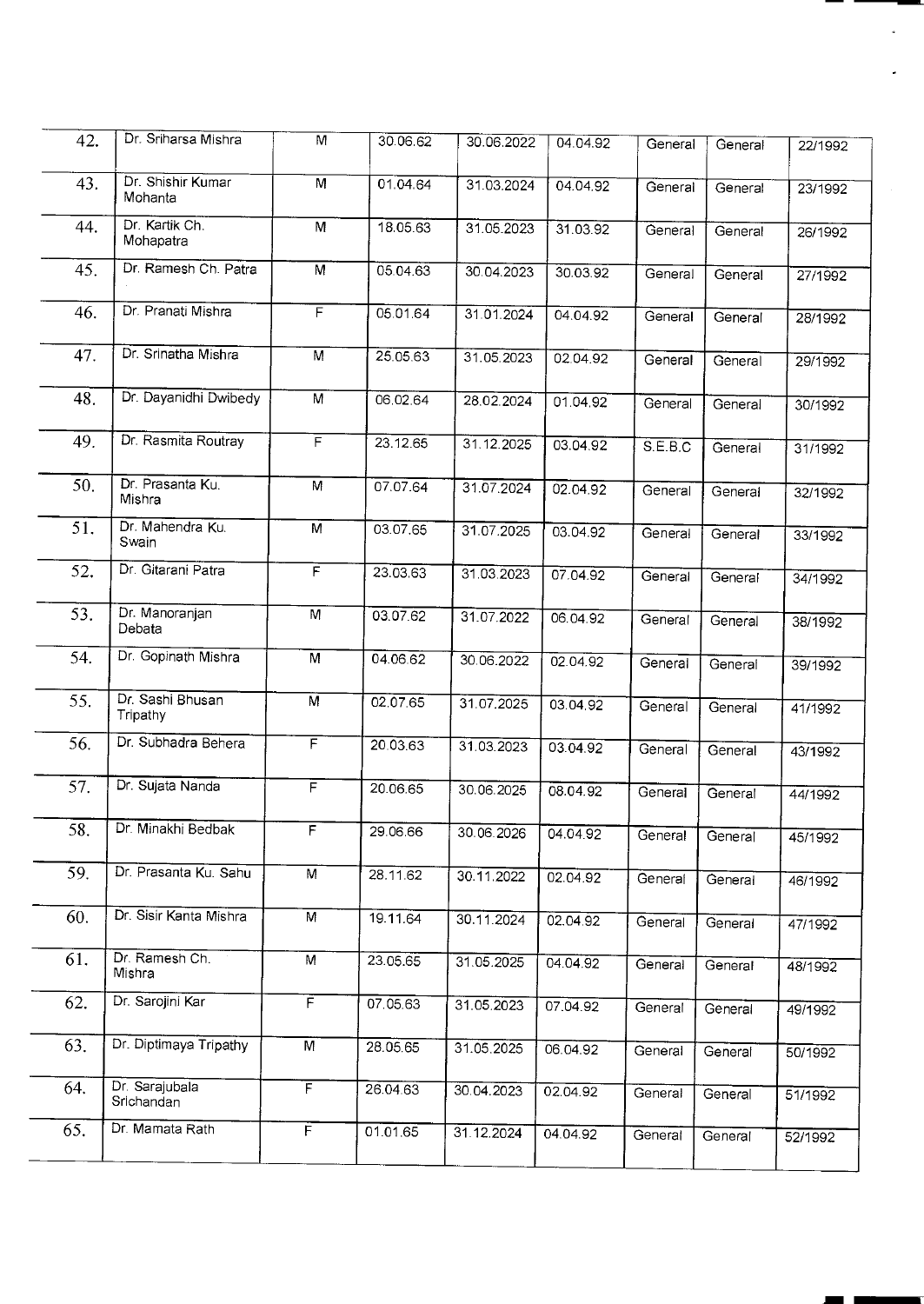| 42. | Dr. Sriharsa Mishra          | M                       | 30.06.62 | 30.06.2022 | 04.04.92 | General | General | 22/1992 |
|-----|------------------------------|-------------------------|----------|------------|----------|---------|---------|---------|
| 43. | Dr. Shishir Kumar<br>Mohanta | M                       | 01.04.64 | 31.03.2024 | 04.04.92 | General | General | 23/1992 |
| 44. | Dr. Kartik Ch.<br>Mohapatra  | M                       | 18.05.63 | 31.05.2023 | 31.03.92 | General | General | 26/1992 |
| 45. | Dr. Ramesh Ch. Patra         | M                       | 05.04.63 | 30.04.2023 | 30.03.92 | General | General | 27/1992 |
| 46. | Dr. Pranati Mishra           | F                       | 05.01.64 | 31.01.2024 | 04.04.92 | General | General | 28/1992 |
| 47. | Dr. Srinatha Mishra          | $\overline{M}$          | 25.05.63 | 31.05.2023 | 02.04.92 | General | General | 29/1992 |
| 48. | Dr. Dayanidhi Dwibedy        | $\overline{M}$          | 06.02.64 | 28.02.2024 | 01.04.92 | General | General | 30/1992 |
| 49. | Dr. Rasmita Routray          | $\overline{F}$          | 23.12.65 | 31.12.2025 | 03.04.92 | S.E.B.C | General | 31/1992 |
| 50. | Dr. Prasanta Ku.<br>Mishra   | M                       | 07.07.64 | 31.07.2024 | 02.04.92 | General | General | 32/1992 |
| 51. | Dr. Mahendra Ku.<br>Swain    | $\overline{M}$          | 03.07.65 | 31.07.2025 | 03.04.92 | General | General | 33/1992 |
| 52. | Dr. Gitarani Patra           | F                       | 23.03.63 | 31.03.2023 | 07.04.92 | General | General | 34/1992 |
| 53. | Dr. Manoranjan<br>Debata     | M                       | 03.07.62 | 31.07.2022 | 06.04.92 | General | General | 38/1992 |
| 54. | Dr. Gopinath Mishra          | $\overline{M}$          | 04.06.62 | 30.06.2022 | 02.04.92 | General | General | 39/1992 |
| 55. | Dr. Sashi Bhusan<br>Tripathy | $\overline{M}$          | 02.07.65 | 31.07.2025 | 03.04.92 | General | General | 41/1992 |
| 56. | Dr. Subhadra Behera          | F                       | 20.03.63 | 31.03.2023 | 03.04.92 | General | General | 43/1992 |
| 57. | Dr. Sujata Nanda             | F                       | 20.06.65 | 30.06.2025 | 08.04.92 | General | General | 44/1992 |
| 58. | Dr. Minakhi Bedbak           | $\overline{F}$          | 29.06.66 | 30.06.2026 | 04.04.92 | General | General | 45/1992 |
| 59. | Dr. Prasanta Ku. Sahu        | M                       | 28.11.62 | 30.11.2022 | 02.04.92 | General | General | 46/1992 |
| 60. | Dr. Sisir Kanta Mishra       | $\overline{M}$          | 19.11.64 | 30.11.2024 | 02.04.92 | General | General | 47/1992 |
| 61. | Dr. Ramesh Ch.<br>Mishra     | M                       | 23.05.65 | 31.05.2025 | 04.04.92 | General | General | 48/1992 |
| 62. | Dr. Sarojini Kar             | $\overline{F}$          | 07.05.63 | 31.05.2023 | 07.04.92 | General | General | 49/1992 |
| 63. | Dr. Diptimaya Tripathy       | M                       | 28.05.65 | 31.05.2025 | 06.04.92 | General | General | 50/1992 |
| 64. | Dr. Sarajubala<br>Srichandan | $\overline{\mathsf{F}}$ | 26.04.63 | 30.04.2023 | 02.04.92 | General | General | 51/1992 |
| 65. | Dr. Mamata Rath              | $\overline{F}$          | 01.01.65 | 31.12.2024 | 04.04.92 | General | General | 52/1992 |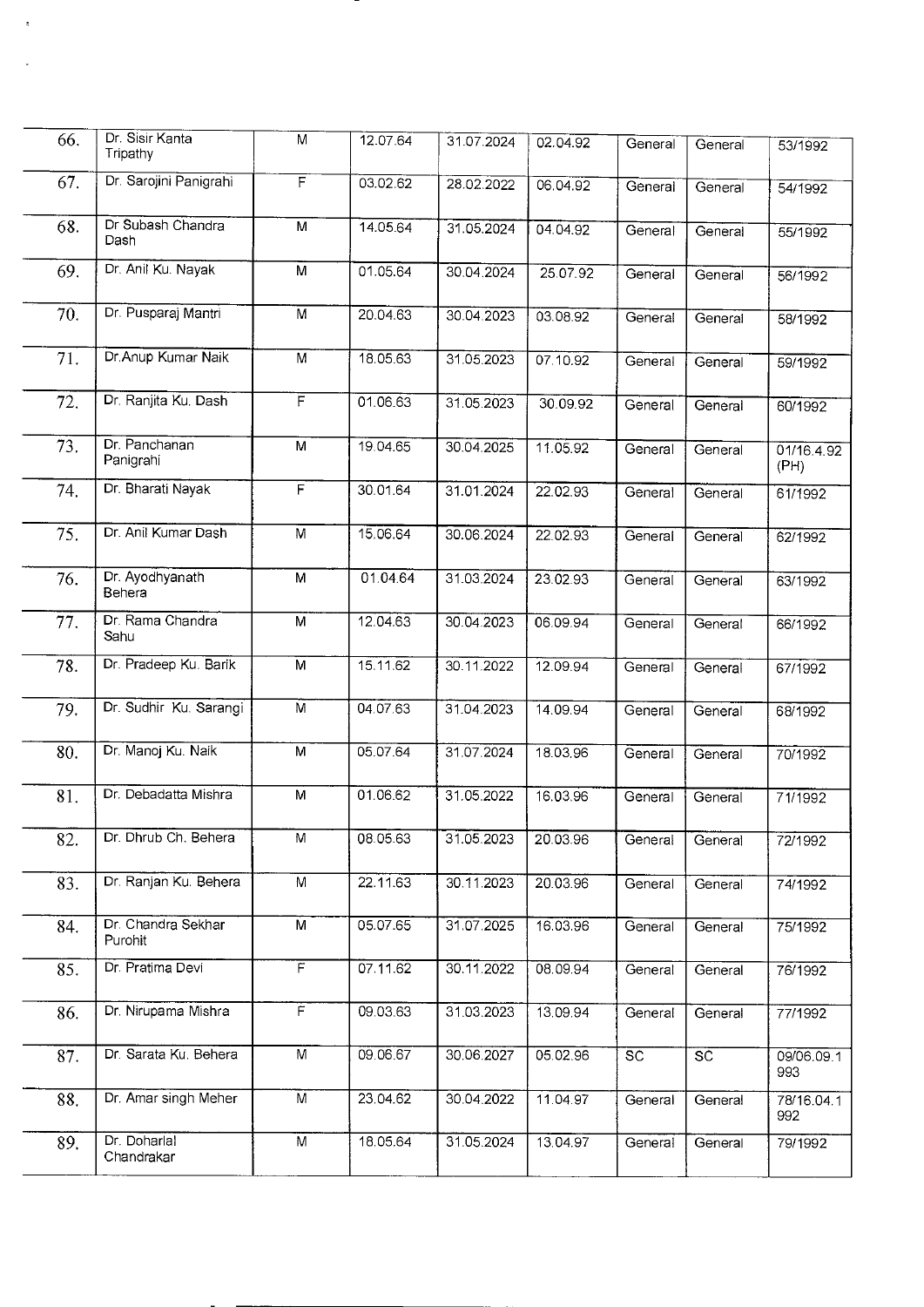| 66. | Dr. Sisir Kanta<br>Tripathy   | M              | 12.07.64 | 31.07.2024 | 02.04.92 | General         | General                | 53/1992            |
|-----|-------------------------------|----------------|----------|------------|----------|-----------------|------------------------|--------------------|
| 67. | Dr. Sarojini Panigrahi        | F              | 03.02.62 | 28.02.2022 | 06.04.92 | General         | General                | 54/1992            |
| 68. | Dr Subash Chandra<br>Dash     | М              | 14.05.64 | 31.05.2024 | 04.04.92 | General         | General                | 55/1992            |
| 69. | Dr. Anil Ku. Nayak            | $\overline{M}$ | 01.05.64 | 30.04.2024 | 25.07.92 | General         | General                | 56/1992            |
| 70. | Dr. Pusparaj Mantri           | $\overline{M}$ | 20.04.63 | 30.04.2023 | 03.08.92 | General         | General                | 58/1992            |
| 71. | Dr. Anup Kumar Naik           | M              | 18.05.63 | 31.05.2023 | 07.10.92 | General         | General                | 59/1992            |
| 72. | Dr. Ranjita Ku. Dash          | Ē              | 01.06.63 | 31.05.2023 | 30.09.92 | General         | General                | 60/1992            |
| 73. | Dr. Panchanan<br>Panigrahi    | M              | 19.04.65 | 30.04.2025 | 11.05.92 | General         | General                | 01/16.4.92<br>(PH) |
| 74. | Dr. Bharati Nayak             | $\overline{F}$ | 30.01.64 | 31.01.2024 | 22.02.93 | General         | General                | 61/1992            |
| 75. | Dr. Anil Kumar Dash           | $\overline{M}$ | 15.06.64 | 30.06.2024 | 22.02.93 | General         | General                | 62/1992            |
| 76. | Dr. Ayodhyanath<br>Behera     | М              | 01.04.64 | 31.03.2024 | 23.02.93 | General         | General                | 63/1992            |
| 77. | Dr. Rama Chandra<br>Sahu      | M              | 12.04.63 | 30.04.2023 | 06.09.94 | General         | General                | 66/1992            |
| 78. | Dr. Pradeep Ku. Barik         | $\overline{M}$ | 15.11.62 | 30.11.2022 | 12.09.94 | General         | General                | 67/1992            |
| 79. | Dr. Sudhir Ku. Sarangi        | $\overline{M}$ | 04.07.63 | 31.04.2023 | 14.09.94 | General         | General                | 68/1992            |
| 80. | Dr. Manoj Ku. Naik            | M              | 05.07.64 | 31.07.2024 | 18.03.96 | General         | General                | 70/1992            |
| 81. | Dr. Debadatta Mishra          | M              | 01.06.62 | 31.05.2022 | 16.03.96 | General         | General                | 71/1992            |
| 82. | Dr. Dhrub Ch. Behera          | M              | 08.05.63 | 31.05.2023 | 20.03.96 | General         | General                | 72/1992            |
| 83. | Dr. Ranjan Ku. Behera         | M              | 22.11.63 | 30.11.2023 | 20.03.96 | General         | General                | 74/1992            |
| 84. | Dr. Chandra Sekhar<br>Purohit | M              | 05.07.65 | 31.07.2025 | 16.03.96 | General         | General                | 75/1992            |
| 85. | Dr. Pratima Devi              | $\overline{F}$ | 07.11.62 | 30.11.2022 | 08.09.94 | General         | General                | 76/1992            |
| 86. | Dr. Nirupama Mishra           | $\overline{F}$ | 09.03.63 | 31.03.2023 | 13.09.94 | General         | General                | 77/1992            |
| 87. | Dr. Sarata Ku. Behera         | $\overline{M}$ | 09.06.67 | 30.06.2027 | 05.02.96 | $\overline{sc}$ | $\overline{\text{sc}}$ | 09/06.09.1<br>993  |
| 88. | Dr. Amar singh Meher          | M              | 23.04.62 | 30.04.2022 | 11.04.97 | General         | General                | 78/16.04.1<br>992  |
| 89. | Dr. Doharlal<br>Chandrakar    | M              | 18.05.64 | 31.05.2024 | 13.04.97 | General         | General                | 79/1992            |

 $\overline{\phantom{a}}$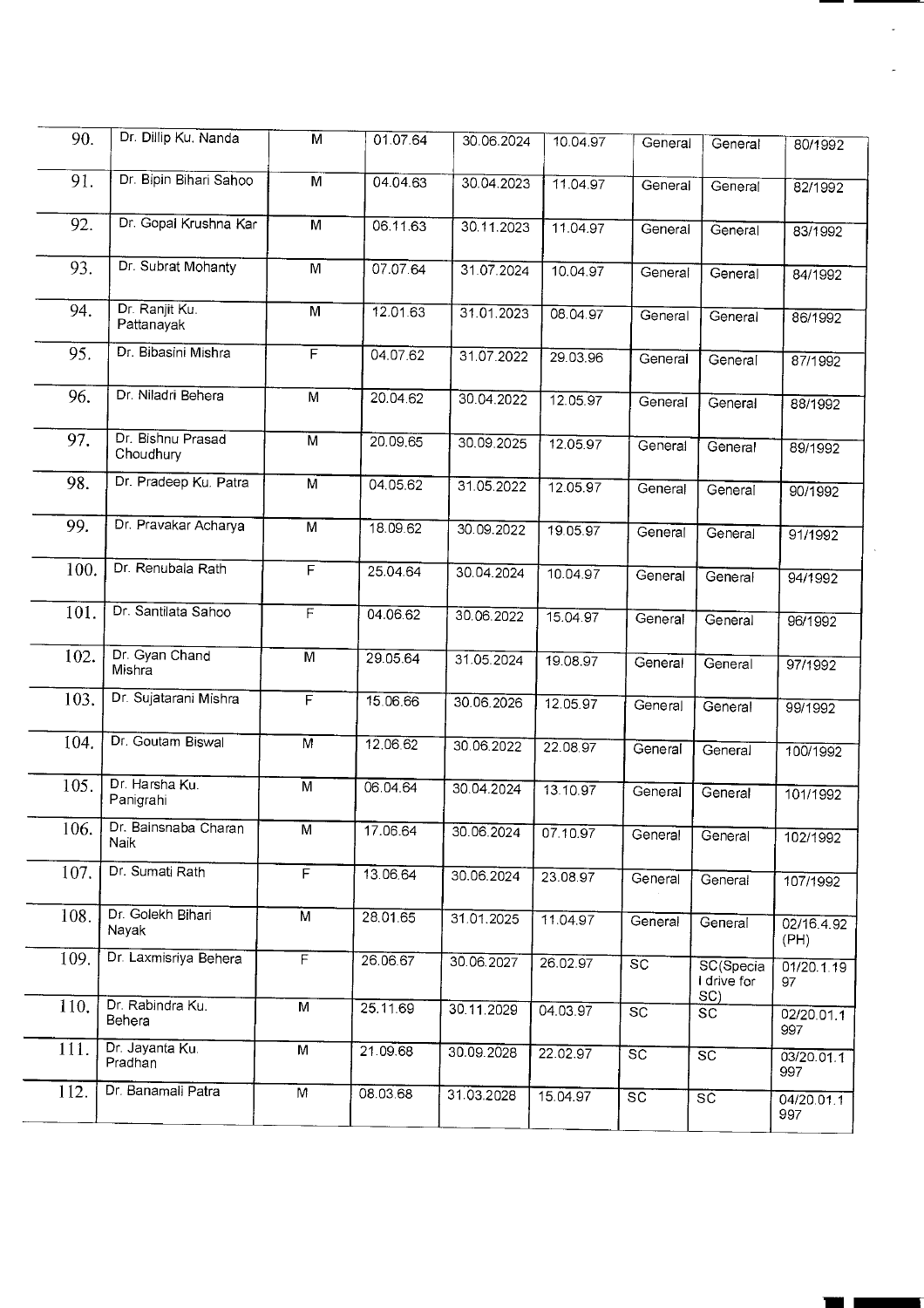| 90.  | Dr. Dillip Ku. Nanda           | M                       | 01.07.64 | 30.06.2024 | 10.04.97 | General         | General                  | 80/1992            |
|------|--------------------------------|-------------------------|----------|------------|----------|-----------------|--------------------------|--------------------|
| 91.  | Dr. Bipin Bihari Sahoo         | M                       | 04.04.63 | 30.04.2023 | 11.04.97 | General         | General                  | 82/1992            |
| 92.  | Dr. Gopal Krushna Kar          | $\overline{M}$          | 06.11.63 | 30.11.2023 | 11.04.97 | General         | General                  | 83/1992            |
| 93.  | Dr. Subrat Mohanty             | M                       | 07.07.64 | 31.07.2024 | 10.04.97 | General         | General                  | 84/1992            |
| 94.  | Dr. Ranjit Ku.<br>Pattanayak   | $\overline{M}$          | 12.01.63 | 31.01.2023 | 08.04.97 | General         | General                  | 86/1992            |
| 95.  | Dr. Bibasini Mishra            | F                       | 04.07.62 | 31.07.2022 | 29.03.96 | General         | General                  | 87/1992            |
| 96.  | Dr. Niladri Behera             | $\overline{M}$          | 20.04.62 | 30.04.2022 | 12.05.97 | General         | General                  | 88/1992            |
| 97.  | Dr. Bishnu Prasad<br>Choudhury | $\overline{M}$          | 20.09.65 | 30.09.2025 | 12.05.97 | General         | General                  | 89/1992            |
| 98.  | Dr. Pradeep Ku. Patra          | $\overline{M}$          | 04.05.62 | 31.05.2022 | 12.05.97 | General         | General                  | 90/1992            |
| 99.  | Dr. Pravakar Acharya           | $\overline{M}$          | 18.09.62 | 30.09.2022 | 19.05.97 | General         | General                  | 91/1992            |
| 100. | Dr. Renubala Rath              | $\overline{\mathsf{F}}$ | 25.04.64 | 30.04.2024 | 10.04.97 | General         | General                  | 94/1992            |
| 101. | Dr. Santilata Sahoo            | F                       | 04.06.62 | 30.06.2022 | 15.04.97 | General         | General                  | 96/1992            |
| 102. | Dr. Gyan Chand<br>Mishra       | M                       | 29.05.64 | 31.05.2024 | 19.08.97 | General         | General                  | 97/1992            |
| 103. | Dr. Sujatarani Mishra          | F                       | 15.06.66 | 30.06.2026 | 12.05.97 | General         | General                  | 99/1992            |
| 104. | Dr. Goutam Biswal              | $\overline{M}$          | 12.06.62 | 30.06.2022 | 22.08.97 | General         | General                  | 100/1992           |
| 105. | Dr. Harsha Ku.<br>Panigrahi    | M                       | 06.04.64 | 30.04.2024 | 13.10.97 | General         | General                  | 101/1992           |
| 106. | Dr. Bainsnaba Charan<br>Naik   | $\overline{M}$          | 17.06.64 | 30.06.2024 | 07.10.97 | General         | General                  | 102/1992           |
| 107. | Dr. Sumati Rath                | $\overline{F}$          | 13.06.64 | 30.06.2024 | 23.08.97 | General         | General                  | 107/1992           |
| 108. | Dr. Golekh Bihari<br>Nayak     | $\overline{M}$          | 28.01.65 | 31.01.2025 | 11.04.97 | General         | General                  | 02/16.4.92<br>(PH) |
| 109. | Dr. Laxmisriya Behera          | $\overline{F}$          | 26.06.67 | 30.06.2027 | 26.02.97 | $\overline{SC}$ | SC(Specia<br>I drive for | 01/20.1.19<br>97   |
| 110. | Dr. Rabindra Ku.<br>Behera     | M                       | 25.11.69 | 30.11.2029 | 04.03.97 | <b>SC</b>       | SC)<br><b>SC</b>         | 02/20.01.1<br>997  |
| 111. | Dr. Jayanta Ku.<br>Pradhan     | M                       | 21.09.68 | 30.09.2028 | 22.02.97 | $\overline{SC}$ | $\overline{SC}$          | 03/20.01.1<br>997  |
| 112. | Dr. Banamali Patra             | M                       | 08.03.68 | 31.03.2028 | 15.04.97 | $\overline{SC}$ | $\overline{SC}$          | 04/20.01.1<br>997  |
|      |                                |                         |          |            |          |                 |                          |                    |

**1111**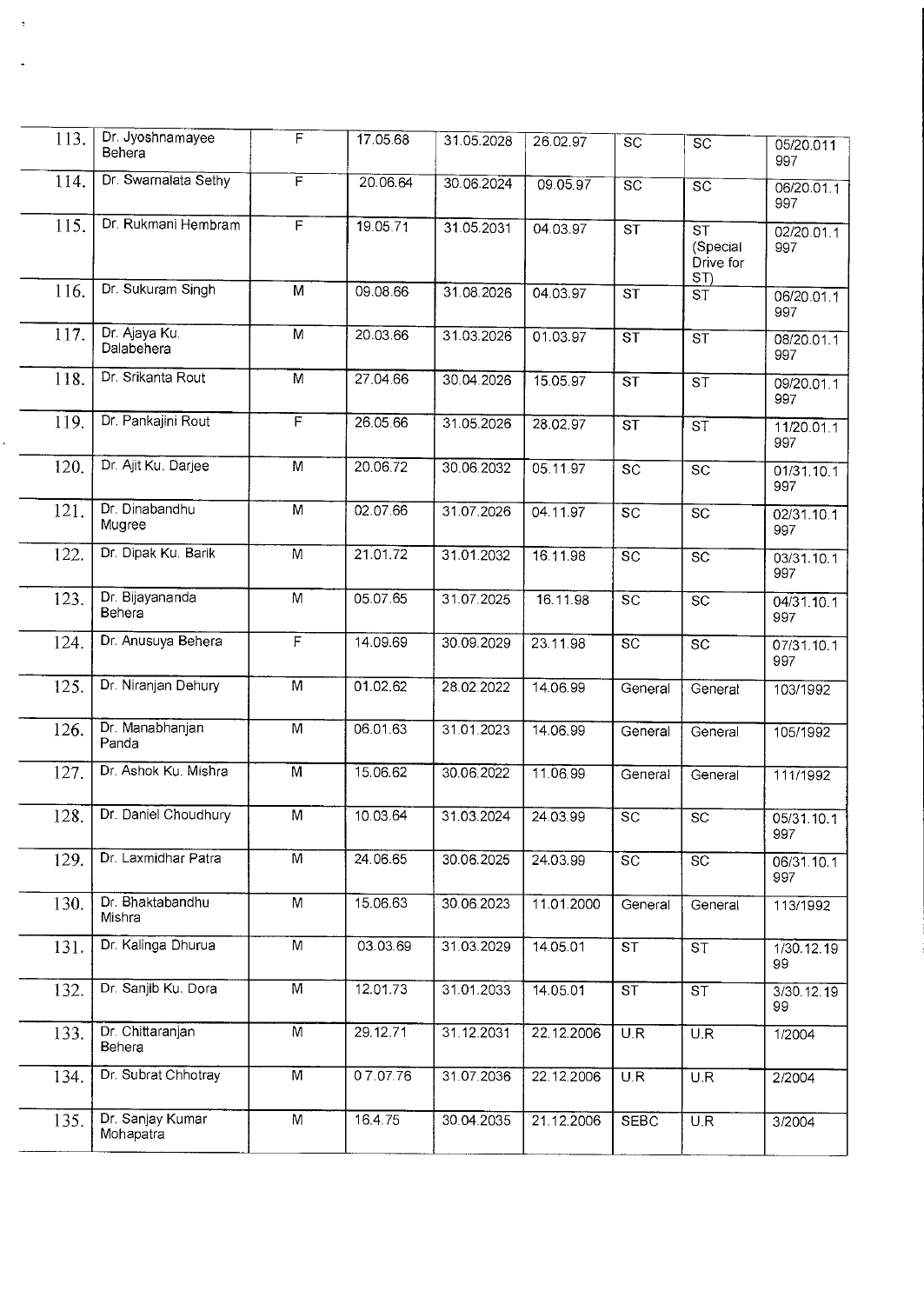| 113. | Dr. Jyoshnamayee<br>Behera        | F              | 17.05.68 | 31.05.2028 | 26.02.97   | $\overline{SC}$        | $\overline{sc}$                                       | 05/20.011<br>997  |
|------|-----------------------------------|----------------|----------|------------|------------|------------------------|-------------------------------------------------------|-------------------|
| 114. | Dr. Swarnalata Sethy              | F              | 20.06.64 | 30.06.2024 | 09.05.97   | $\overline{sc}$        | $\overline{SC}$                                       | 06/20.01.1<br>997 |
| 115. | Dr. Rukmani Hembram               | $\overline{F}$ | 19.05.71 | 31.05.2031 | 04.03.97   | $S\overline{T}$        | $\overline{\text{ST}}$<br>(Special<br>Drive for<br>ST | 02/20.01.1<br>997 |
| 116. | Dr. Sukuram Singh                 | M              | 09.08.66 | 31.08.2026 | 04.03.97   | $\overline{\text{ST}}$ | $\overline{\mathsf{ST}}$                              | 06/20.01.1<br>997 |
| 117. | Dr. Ajaya Ku.<br>Dalabehera       | M              | 20.03.66 | 31.03.2026 | 01.03.97   | ST                     | ST                                                    | 08/20.01.1<br>997 |
| 118. | Dr. Srikanta Rout                 | $\overline{M}$ | 27.04.66 | 30.04.2026 | 15.05.97   | $\overline{\text{ST}}$ | $\overline{\text{s} \overline{\text{t}}}$             | 09/20.01.1<br>997 |
| 119. | Dr. Pankajini Rout                | $\overline{F}$ | 26.05.66 | 31.05.2026 | 28.02.97   | $\overline{\text{ST}}$ | $\overline{\mathsf{ST}}$                              | 11/20.01.1<br>997 |
| 120. | Dr. Ajit Ku. Darjee               | M              | 20.06.72 | 30.06.2032 | 05.11.97   | $S\overline{C}$        | $\overline{SC}$                                       | 01/31.10.1<br>997 |
| 121. | Dr. Dinabandhu<br>Mugree          | $\overline{M}$ | 02.07.66 | 31.07.2026 | 04.11.97   | $\overline{SC}$        | $\overline{sc}$                                       | 02/31.10.1<br>997 |
| 122. | Dr. Dipak Ku. Barik               | M              | 21.01.72 | 31.01.2032 | 16.11.98   | $\overline{SC}$        | $\overline{SC}$                                       | 03/31.10.1<br>997 |
| 123. | Dr. Bijayananda<br>Behera         | M              | 05.07.65 | 31.07.2025 | 16.11.98   | s <sub>c</sub>         | $\overline{SC}$                                       | 04/31.10.1<br>997 |
| 124. | Dr. Anusuya Behera                | $\overline{F}$ | 14.09.69 | 30.09.2029 | 23.11.98   | $\overline{SC}$        | $\overline{\text{sc}}$                                | 07/31.10.1<br>997 |
| 125. | Dr. Niranjan Dehury               | $\overline{M}$ | 01.02.62 | 28.02.2022 | 14.06.99   | General                | General                                               | 103/1992          |
| 126. | Dr. Manabhanjan<br>Panda          | $\overline{M}$ | 06.01.63 | 31.01.2023 | 14.06.99   | General                | General                                               | 105/1992          |
| 127. | Dr. Ashok Ku. Mishra              | $\overline{M}$ | 15.06.62 | 30.06.2022 | 11.06.99   | General                | General                                               | 111/1992          |
| 128. | Dr. Daniel Choudhury              | $\overline{M}$ | 10.03.64 | 31.03.2024 | 24.03.99   | $\overline{SC}$        | $\overline{SC}$                                       | 05/31.10.1<br>997 |
| 129. | Dr. Laxmidhar Patra               | $\overline{M}$ | 24.06.65 | 30.06.2025 | 24.03.99   | $\overline{SC}$        | $\overline{SC}$                                       | 06/31.10.1<br>997 |
| 130. | Dr. Bhaktabandhu<br>Mishra        | M              | 15.06.63 | 30.06.2023 | 11.01.2000 | General                | General                                               | 113/1992          |
| 131. | Dr. Kalinga Dhurua                | $\overline{M}$ | 03.03.69 | 31.03.2029 | 14.05.01   | <b>ST</b>              | ST                                                    | 1/30.12.19<br>99  |
| 132. | Dr. Sanjib Ku. Dora               | $\overline{M}$ | 12.01.73 | 31.01.2033 | 14.05.01   | $\overline{\text{ST}}$ | $\overline{\text{ST}}$                                | 3/30.12.19<br>99  |
| 133. | Dr. Chittaranjan<br><b>Behera</b> | $\overline{M}$ | 29.12.71 | 31.12.2031 | 22.12.2006 | U.R                    | $\overline{\mathsf{U}.\mathsf{R}}$                    | 1/2004            |
| 134. | Dr. Subrat Chhotray               | $\overline{M}$ | 07.07.76 | 31.07.2036 | 22.12.2006 | U.R                    | U.R                                                   | 2/2004            |
| 135. | Dr. Sanjay Kumar<br>Mohapatra     | M              | 16.4.75  | 30.04.2035 | 21.12.2006 | <b>SEBC</b>            | $\overline{U.R}$                                      | 3/2004            |

ŧ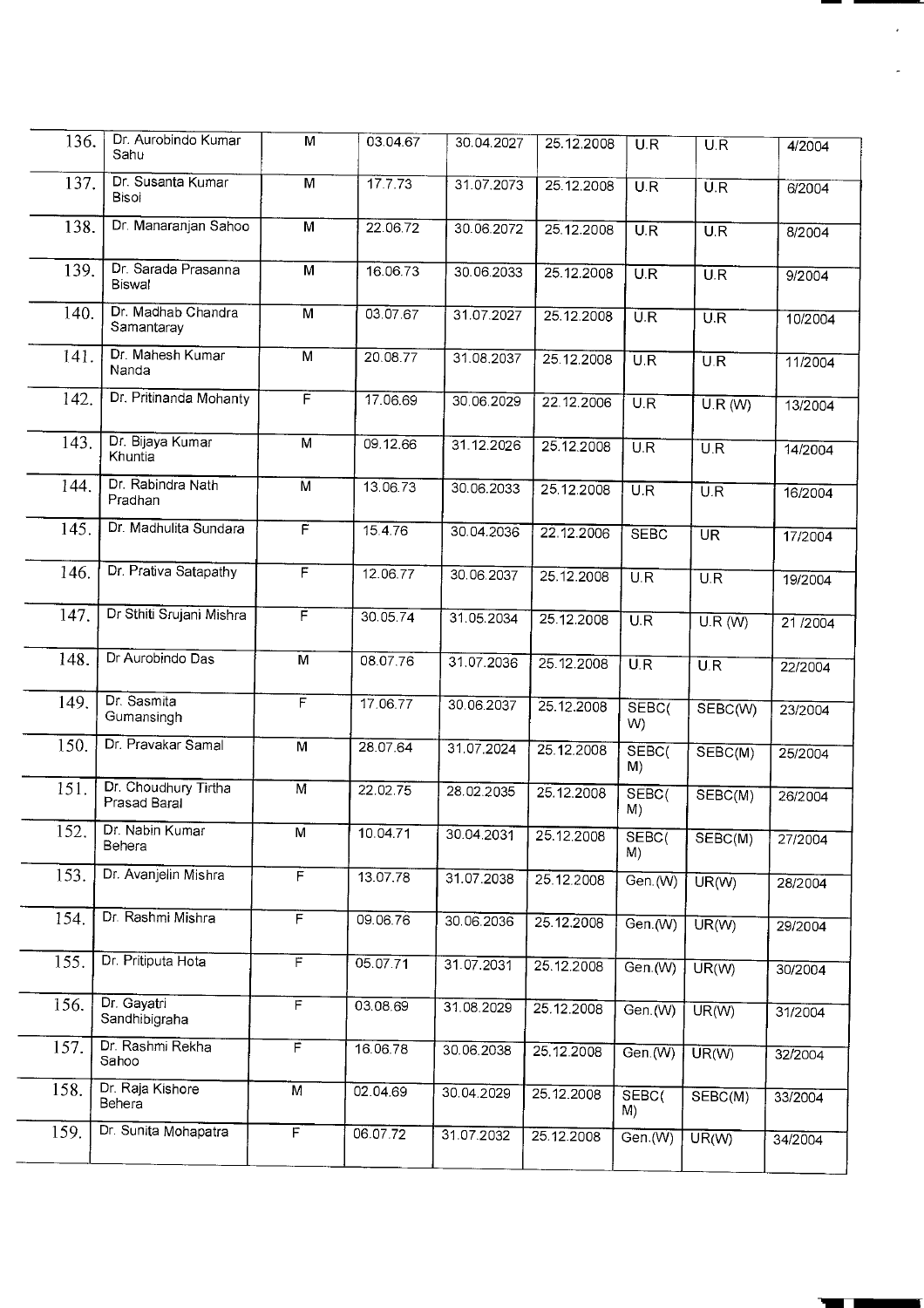| 136. | Dr. Aurobindo Kumar<br>Sahu          | M                       | 03.04.67 | 30.04.2027 | 25.12.2008 | U.R                     | $\overline{U}$ . $\overline{R}$ | 4/2004  |
|------|--------------------------------------|-------------------------|----------|------------|------------|-------------------------|---------------------------------|---------|
| 137. | Dr. Susanta Kumar<br>Bisoi           | M                       | 17.7.73  | 31.07.2073 | 25.12.2008 | U.R                     | $\overline{U.R}$                | 6/2004  |
| 138. | Dr. Manaranjan Sahoo                 | $\overline{M}$          | 22.06.72 | 30.06.2072 | 25.12.2008 | U.R                     | $\overline{U.R}$                | 8/2004  |
| 139. | Dr. Sarada Prasanna<br><b>Biswal</b> | $\overline{M}$          | 16.06.73 | 30.06.2033 | 25.12.2008 | U.R                     | $\overline{U.R}$                | 9/2004  |
| 140. | Dr. Madhab Chandra<br>Samantaray     | $\overline{M}$          | 03.07.67 | 31.07.2027 | 25.12.2008 | $\overline{U.R}$        | U.R                             | 10/2004 |
| 141. | Dr. Mahesh Kumar<br>Nanda            | $\overline{\mathsf{M}}$ | 20.08.77 | 31.08.2037 | 25.12.2008 | U.R                     | $\overline{U.R}$                | 11/2004 |
| 142. | Dr. Pritinanda Mohanty               | F                       | 17.06.69 | 30.06.2029 | 22.12.2006 | U.R                     | U.R(W)                          | 13/2004 |
| 143. | Dr. Bijaya Kumar<br>Khuntia          | $\overline{M}$          | 09.12.66 | 31.12.2026 | 25.12.2008 | $\overline{U.R}$        | $\overline{U.R}$                | 14/2004 |
| 144. | Dr. Rabindra Nath<br>Pradhan         | $\overline{M}$          | 13.06.73 | 30.06.2033 | 25.12.2008 | U.R                     | U.R                             | 16/2004 |
| 145. | Dr. Madhulita Sundara                | $\overline{F}$          | 15.4.76  | 30.04.2036 | 22.12.2006 | <b>SEBC</b>             | $\overline{\text{UR}}$          | 17/2004 |
| 146. | Dr. Prativa Satapathy                | $\overline{F}$          | 12.06.77 | 30.06.2037 | 25.12.2008 | $\overline{U.R}$        | $\overline{U.R}$                | 19/2004 |
| 147. | Dr Sthiti Srujani Mishra             | F                       | 30.05.74 | 31.05.2034 | 25.12.2008 | U.R                     | U.R (W)                         | 21/2004 |
| 148. | Dr Aurobindo Das                     | M                       | 08.07.76 | 31.07.2036 | 25.12.2008 | U.R                     | $\overline{U.R}$                | 22/2004 |
| 149. | Dr. Sasmita<br>Gumansingh            | $\overline{\mathsf{F}}$ | 17.06.77 | 30.06.2037 | 25.12.2008 | SEBC <sub>(</sub><br>W) | SEBC(W)                         | 23/2004 |
| 150. | Dr. Pravakar Samal                   | M                       | 28.07.64 | 31.07.2024 | 25.12.2008 | SEBC(<br>M)             | SEBC(M)                         | 25/2004 |
| 151. | Dr. Choudhury Tirtha<br>Prasad Baral | $\overline{M}$          | 22.02.75 | 28.02.2035 | 25.12.2008 | SEBC(<br>M)             | SEBC(M)                         | 26/2004 |
| 152. | Dr. Nabin Kumar<br>Behera            | M                       | 10.04.71 | 30.04.2031 | 25.12.2008 | SEBC(<br>M)             | SEBC(M)                         | 27/2004 |
| 153. | Dr. Avanjelin Mishra                 | $\mathsf{F}$            | 13.07.78 | 31.07.2038 | 25.12.2008 | Gen. $(W)$              | UR(W)                           | 28/2004 |
| 154. | Dr. Rashmi Mishra                    | $\overline{F}$          | 09.06.76 | 30.06.2036 | 25.12.2008 | Gen.(W)                 | UR(W)                           | 29/2004 |
| 155. | Dr. Pritiputa Hota                   | F                       | 05.07.71 | 31.07.2031 | 25.12.2008 | Gen.(W)                 | UR(W)                           | 30/2004 |
| 156. | Dr. Gayatri<br>Sandhibigraha         | $\overline{F}$          | 03.08.69 | 31.08.2029 | 25.12.2008 | Gen.(W)                 | $UR(\overline{W})$              | 31/2004 |
| 157. | Dr. Rashmi Rekha<br>Sahoo            | F                       | 16.06.78 | 30.06.2038 | 25.12.2008 | Gen. $(W)$              | UR(W)                           | 32/2004 |
| 158. | Dr. Raja Kishore<br>Behera           | M                       | 02.04.69 | 30.04.2029 | 25.12.2008 | SEBC <sub>(</sub><br>M) | SEBC(M)                         | 33/2004 |
| 159. | Dr. Sunita Mohapatra                 | F                       | 06.07.72 | 31.07.2032 | 25.12.2008 | Gen.(W)                 | UR(W)                           | 34/2004 |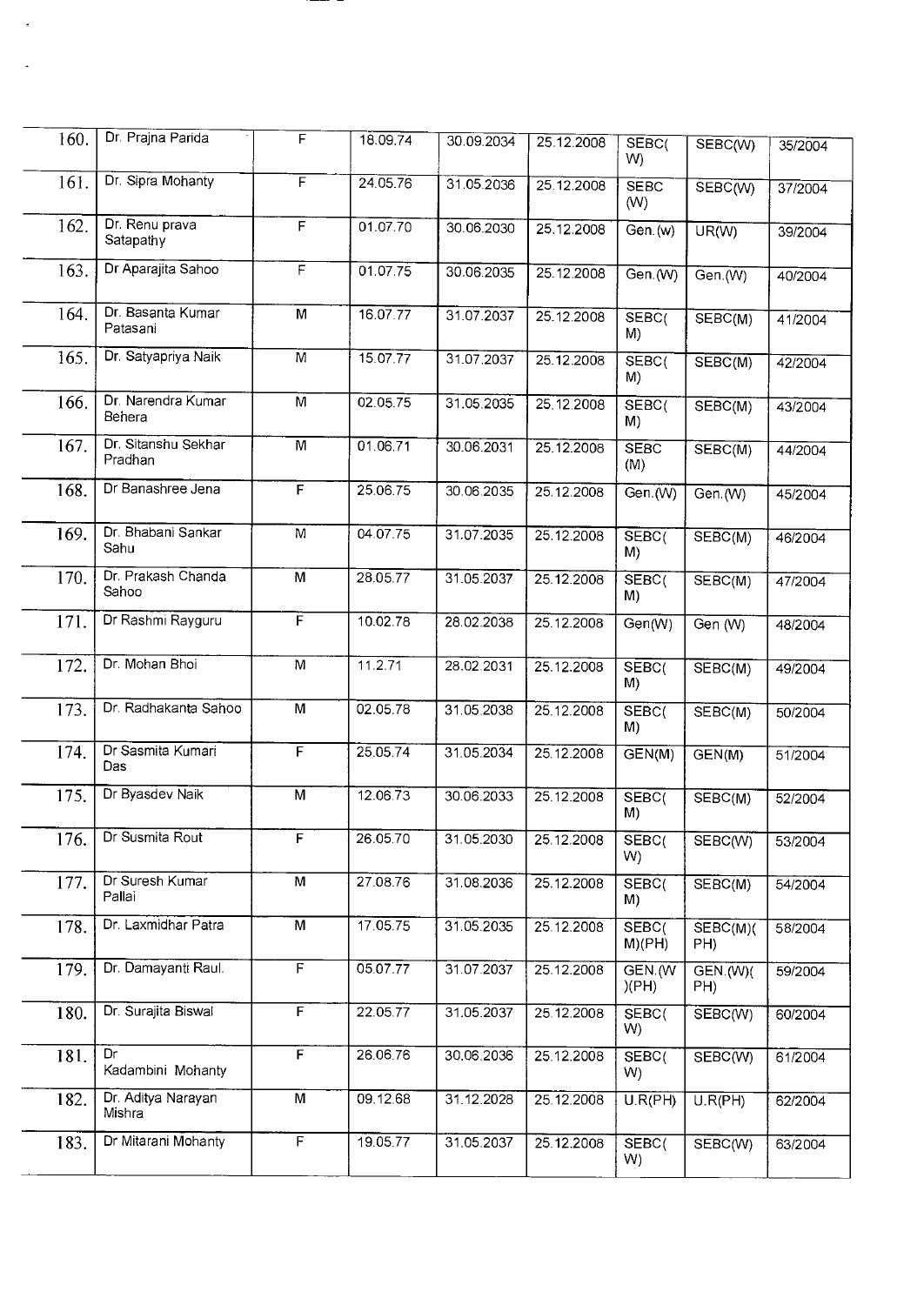| 160. | Dr. Prajna Parida              | F              | 18.09.74 | 30.09.2034 | 25.12.2008 | SEBC <sub>(</sub><br>W) | SEBC(W)                | 35/2004 |
|------|--------------------------------|----------------|----------|------------|------------|-------------------------|------------------------|---------|
| 161. | Dr. Sipra Mohanty              | F              | 24.05.76 | 31.05.2036 | 25.12.2008 | <b>SEBC</b><br>(W)      | SEBC(W)                | 37/2004 |
| 162. | Dr. Renu prava<br>Satapathy    | F              | 01.07.70 | 30.06.2030 | 25.12.2008 | Gen.(w)                 | UR(W)                  | 39/2004 |
| 163. | Dr Aparajita Sahoo             | F              | 01.07.75 | 30.06.2035 | 25.12.2008 | Gen.(W)                 | Gen.(W)                | 40/2004 |
| 164. | Dr. Basanta Kumar<br>Patasani  | M              | 16.07.77 | 31.07.2037 | 25.12.2008 | SEBC <sub>(</sub><br>M) | SEBC(M)                | 41/2004 |
| 165. | Dr. Satyapriya Naik            | M              | 15.07.77 | 31.07.2037 | 25.12.2008 | SEBC(<br>M)             | SEBC(M)                | 42/2004 |
| 166. | Dr. Narendra Kumar<br>Behera   | M              | 02.05.75 | 31.05.2035 | 25.12.2008 | SEBC <sub>(</sub><br>M) | SEBC(M)                | 43/2004 |
| 167. | Dr. Sitanshu Sekhar<br>Pradhan | M              | 01.06.71 | 30.06.2031 | 25.12.2008 | <b>SEBC</b><br>(M)      | SEBC(M)                | 44/2004 |
| 168. | Dr Banashree Jena              | F              | 25.06.75 | 30.06.2035 | 25.12.2008 | Gen.(W)                 | Gen.(W)                | 45/2004 |
| 169. | Dr. Bhabani Sankar<br>Sahu     | M              | 04.07.75 | 31.07.2035 | 25.12.2008 | SEBC <sub>(</sub><br>M) | SEBC(M)                | 46/2004 |
| 170. | Dr. Prakash Chanda<br>Sahoo    | M              | 28.05.77 | 31.05.2037 | 25.12.2008 | SEBC(<br>M)             | SEBC(M)                | 47/2004 |
| 171. | Dr Rashmi Rayguru              | F              | 10.02.78 | 28.02.2038 | 25.12.2008 | Gen(W)                  | Gen (W)                | 48/2004 |
| 172. | Dr. Mohan Bhoi                 | M              | 11.2.71  | 28.02.2031 | 25.12.2008 | SEBC <sub>(</sub><br>M) | SEBC(M)                | 49/2004 |
| 173. | Dr. Radhakanta Sahoo           | M              | 02.05.78 | 31.05.2038 | 25.12.2008 | SEBC <sub>(</sub><br>M) | SEBC(M)                | 50/2004 |
| 174. | Dr Sasmita Kumari<br>Das       | F              | 25.05.74 | 31.05.2034 | 25.12.2008 | GEN(M)                  | GEN(M)                 | 51/2004 |
| 175. | Dr Byasdev Naik                | M              | 12.06.73 | 30.06.2033 | 25.12.2008 | SEBC <sub>(</sub><br>M) | SEBC(M)                | 52/2004 |
| 176. | Dr Susmita Rout                | F              | 26.05.70 | 31.05.2030 | 25.12.2008 | SEBC <sub>(</sub><br>W) | SEBC(W)                | 53/2004 |
| 177. | Dr Suresh Kumar<br>Pallai      | М              | 27.08.76 | 31.08.2036 | 25.12.2008 | SEBC(<br>M)             | SEBC(M)                | 54/2004 |
| 178. | Dr. Laxmidhar Patra            | $\overline{M}$ | 17.05.75 | 31.05.2035 | 25.12.2008 | SEBC(<br>M)(PH)         | SEBC(M)(<br>PH)        | 58/2004 |
| 179. | Dr. Damayanti Raul.            | $\overline{F}$ | 05.07.77 | 31.07.2037 | 25.12.2008 | GEN.W<br>)(PH)          | <b>GEN.(W)(</b><br>PH) | 59/2004 |
| 180. | Dr. Surajita Biswal            | F              | 22.05.77 | 31.05.2037 | 25.12.2008 | SEBC(<br>W)             | SEBC(W)                | 60/2004 |
| 181. | Dr<br>Kadambini Mohanty        | F              | 26.06.76 | 30.06.2036 | 25.12.2008 | SEBC <sub>(</sub><br>W) | SEBC(W)                | 61/2004 |
| 182. | Dr. Aditya Narayan<br>Mishra   | M              | 09.12.68 | 31.12.2028 | 25.12.2008 | U.R(PH)                 | U.R(PH)                | 62/2004 |
| 183. | Dr Mitarani Mohanty            | $\overline{F}$ | 19.05.77 | 31.05.2037 | 25.12.2008 | SEBC(<br>W)             | SEBC(W)                | 63/2004 |

 $\ddot{\phantom{0}}$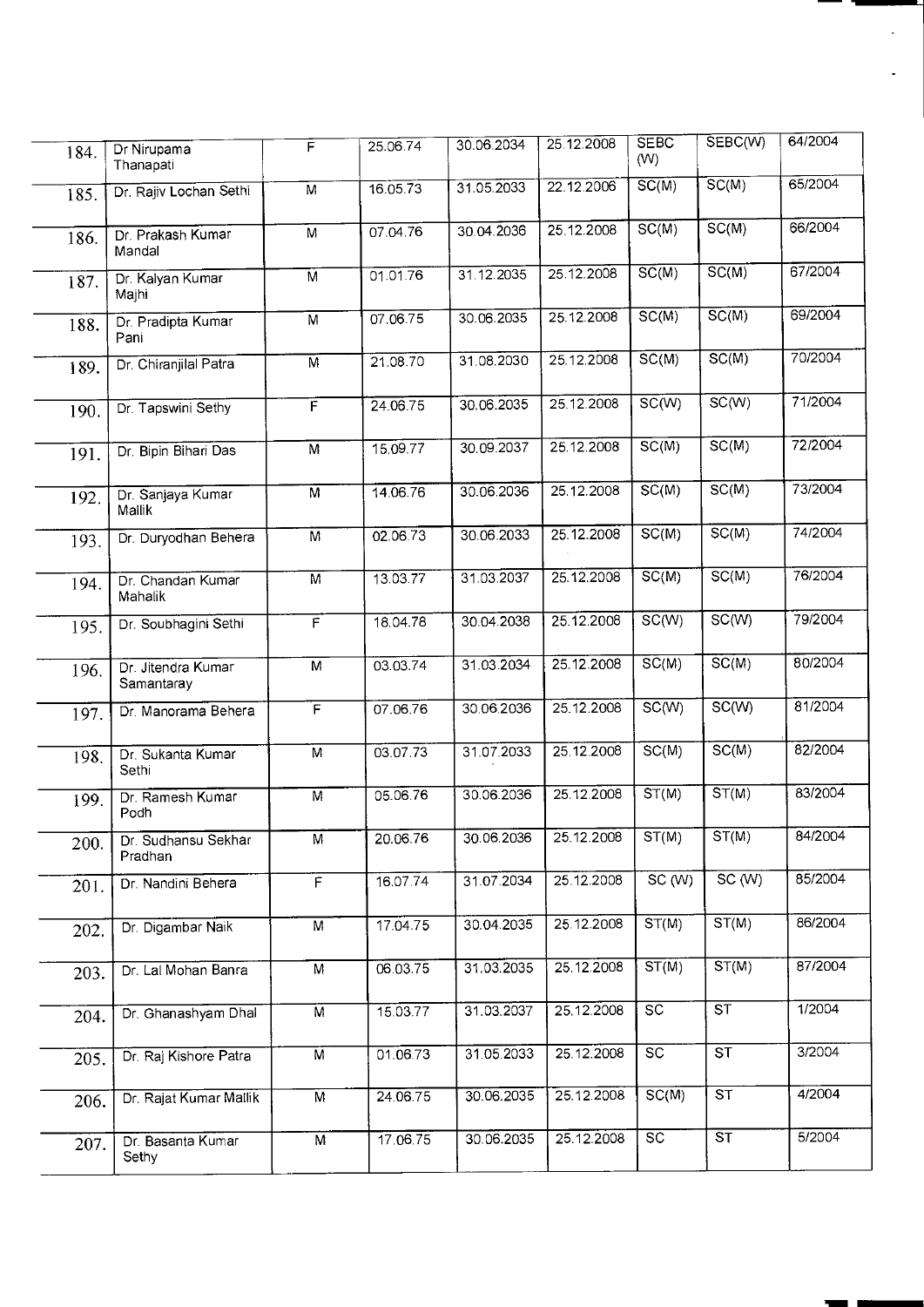| 184. | Dr Nirupama<br>Thanapati         | F                       | 25.06.74 | 30.06.2034 | 25.12.2008 | <b>SEBC</b><br>(W) | SEBC(W)                  | 64/2004 |
|------|----------------------------------|-------------------------|----------|------------|------------|--------------------|--------------------------|---------|
| 185. | Dr. Rajiv Lochan Sethi           | M                       | 16.05.73 | 31.05.2033 | 22.12.2006 | $\overline{SC(M)}$ | SC(M)                    | 65/2004 |
| 186. | Dr. Prakash Kumar<br>Mandal      | $\overline{M}$          | 07.04.76 | 30.04.2036 | 25.12.2008 | SC(M)              | SC(M)                    | 66/2004 |
| 187. | Dr. Kalyan Kumar<br>Majhi        | M                       | 01.01.76 | 31.12.2035 | 25.12.2008 | $\overline{SC(M)}$ | SC(M)                    | 67/2004 |
| 188. | Dr. Pradipta Kumar<br>Pani       | $\overline{M}$          | 07.06.75 | 30.06.2035 | 25.12.2008 | SC(M)              | $\overline{SC(M)}$       | 69/2004 |
| 189. | Dr. Chiranjilal Patra            | M                       | 21.08.70 | 31.08.2030 | 25.12.2008 | SC(M)              | SC(M)                    | 70/2004 |
| 190. | Dr. Tapswini Sethy               | F                       | 24.06.75 | 30.06.2035 | 25.12.2008 | $\overline{SC(W)}$ | SC(W)                    | 71/2004 |
| 191. | Dr. Bipin Bihari Das             | $\overline{M}$          | 15.09.77 | 30.09.2037 | 25.12.2008 | SC(M)              | SC(M)                    | 72/2004 |
| 192. | Dr. Sanjaya Kumar<br>Mallik      | M                       | 14.06.76 | 30.06.2036 | 25.12.2008 | $\overline{SC(M)}$ | SC(M)                    | 73/2004 |
| 193. | Dr. Duryodhan Behera             | $\overline{M}$          | 02.06.73 | 30.06.2033 | 25.12.2008 | SC(M)              | SC(M)                    | 74/2004 |
| 194. | Dr. Chandan Kumar<br>Mahalik     | $\overline{M}$          | 13.03.77 | 31.03.2037 | 25.12.2008 | SC(M)              | SC(M)                    | 76/2004 |
| 195. | Dr. Soubhagini Sethi             | F                       | 18.04.78 | 30.04.2038 | 25.12.2008 | SC(W)              | SC(W)                    | 79/2004 |
| 196. | Dr. Jitendra Kumar<br>Samantaray | $\overline{M}$          | 03.03.74 | 31.03.2034 | 25.12.2008 | $\overline{SC(M)}$ | SC(M)                    | 80/2004 |
| 197. | Dr. Manorama Behera              | $\overline{F}$          | 07.06.76 | 30.06.2036 | 25.12.2008 | SC(W)              | SC(W)                    | 81/2004 |
| 198. | Dr. Sukanta Kumar<br>Sethi       | M                       | 03.07.73 | 31.07.2033 | 25.12.2008 | SC(M)              | SC(M)                    | 82/2004 |
| 199. | Dr. Ramesh Kumar<br>Podh         | $\overline{M}$          | 05.06.76 | 30.06.2036 | 25.12.2008 | ST(M)              | ST(M)                    | 83/2004 |
| 200. | Dr. Sudhansu Sekhar<br>Pradhan   | $\overline{\mathsf{M}}$ | 20.06.76 | 30.06.2036 | 25.12.2008 | ST(M)              | ST(M)                    | 84/2004 |
| 201. | Dr. Nandini Behera               | $\overline{F}$          | 16.07.74 | 31.07.2034 | 25.12.2008 | SC(W)              | SC(W)                    | 85/2004 |
| 202. | Dr. Digambar Naik                | $\overline{M}$          | 17.04.75 | 30.04.2035 | 25.12.2008 | ST(M)              | ST(M)                    | 86/2004 |
| 203. | Dr. Lal Mohan Banra              | $\overline{M}$          | 06.03.75 | 31.03.2035 | 25.12.2008 | ST(M)              | ST(M)                    | 87/2004 |
| 204. | Dr. Ghanashyam Dhal              | M                       | 15.03.77 | 31.03.2037 | 25.12.2008 | $\overline{SC}$    | $\overline{\text{ST}}$   | 1/2004  |
| 205. | Dr. Raj Kishore Patra            | $\overline{M}$          | 01.06.73 | 31.05.2033 | 25.12.2008 | $\overline{SC}$    | $\overline{\text{ST}}$   | 3/2004  |
| 206. | Dr. Rajat Kumar Mallik           | $\overline{M}$          | 24.06.75 | 30.06.2035 | 25.12.2008 | SC(M)              | $\overline{\mathsf{ST}}$ | 4/2004  |
| 207. | Dr. Basanta Kumar<br>Sethy       | M                       | 17.06.75 | 30.06.2035 | 25.12.2008 | $\overline{SC}$    | ST                       | 5/2004  |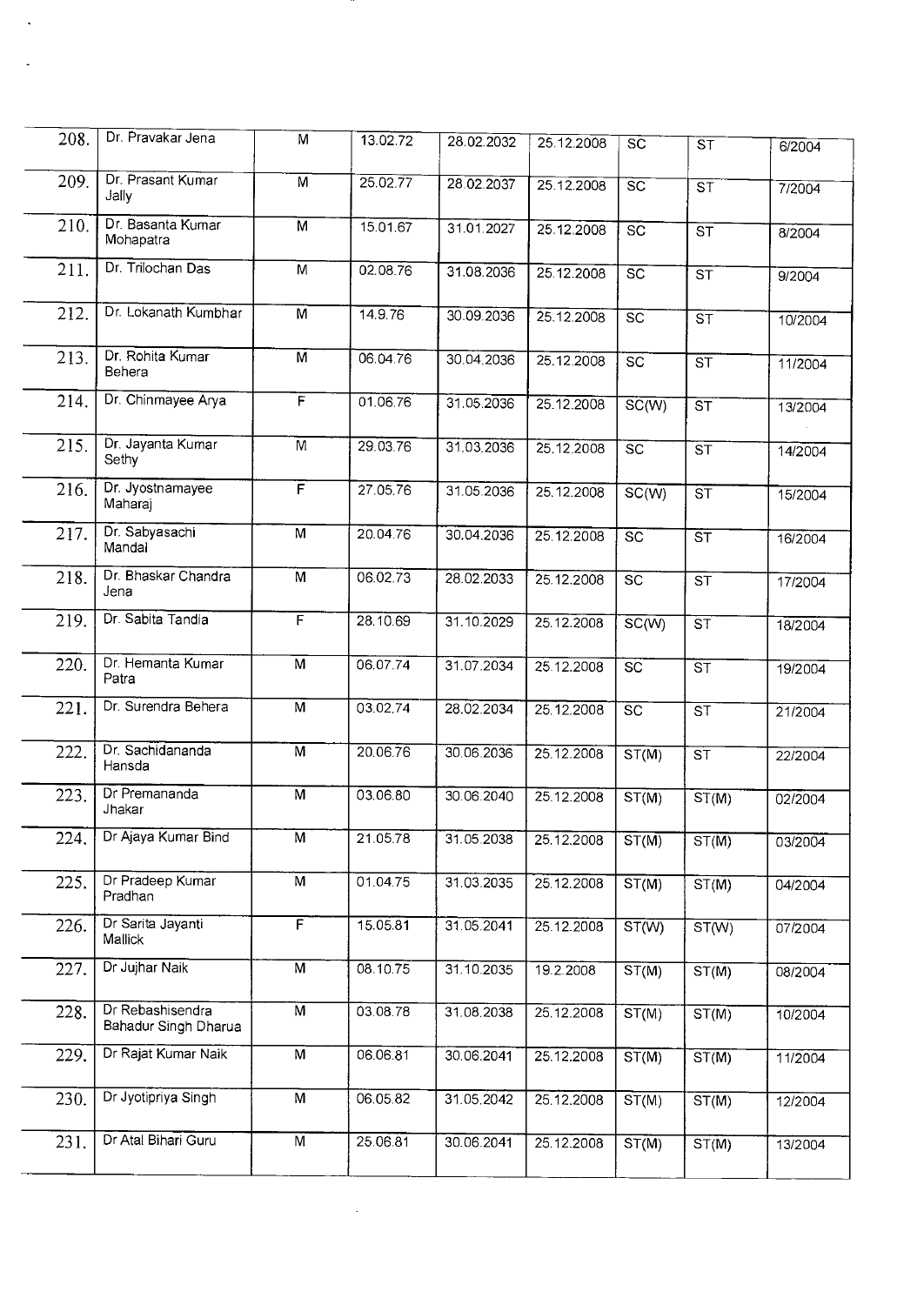| 208. | Dr. Pravakar Jena                        | M                       | 13.02.72 | 28.02.2032 | 25.12.2008 | <b>SC</b>       | ST                                    | 6/2004  |
|------|------------------------------------------|-------------------------|----------|------------|------------|-----------------|---------------------------------------|---------|
| 209. | Dr. Prasant Kumar<br>Jally               | M                       | 25.02.77 | 28.02.2037 | 25.12.2008 | $\overline{SC}$ | $\overline{\text{ST}}$                | 7/2004  |
| 210. | Dr. Basanta Kumar<br>Mohapatra           | M                       | 15.01.67 | 31.01.2027 | 25.12.2008 | $\overline{SC}$ | $\overline{\text{ST}}$                | 8/2004  |
| 211. | Dr. Trilochan Das                        | $\overline{M}$          | 02.08.76 | 31.08.2036 | 25.12.2008 | $\overline{SC}$ | $\overline{\text{ST}}$                | 9/2004  |
| 212. | Dr. Lokanath Kumbhar                     | M                       | 14.9.76  | 30.09.2036 | 25.12.2008 | $\overline{SC}$ | $\overline{\text{ST}}$                | 10/2004 |
| 213. | Dr. Rohita Kumar<br>Behera               | $\overline{M}$          | 06.04.76 | 30.04.2036 | 25.12.2008 | $\overline{sc}$ | $\overline{\text{ST}}$                | 11/2004 |
| 214. | Dr. Chinmayee Arya                       | $\overline{\mathsf{F}}$ | 01.06.76 | 31.05.2036 | 25.12.2008 | SC(W)           | ST                                    | 13/2004 |
| 215. | Dr. Jayanta Kumar<br>Sethy               | M                       | 29.03.76 | 31.03.2036 | 25.12.2008 | $\overline{SC}$ | $\overline{\mathsf{s} \mathsf{\tau}}$ | 14/2004 |
| 216. | Dr. Jyostnamayee<br>Maharaj              | F                       | 27.05.76 | 31.05.2036 | 25.12.2008 | SC(W)           | $\overline{\mathsf{ST}}$              | 15/2004 |
| 217. | Dr. Sabyasachi<br>Mandal                 | M                       | 20.04.76 | 30.04.2036 | 25.12.2008 | $\overline{SC}$ | $\overline{\text{ST}}$                | 16/2004 |
| 218. | Dr. Bhaskar Chandra<br>Jena              | M                       | 06.02.73 | 28.02.2033 | 25.12.2008 | SC              | $\overline{\text{ST}}$                | 17/2004 |
| 219. | Dr. Sabita Tandia                        | F                       | 28.10.69 | 31.10.2029 | 25.12.2008 | SC(W)           | $\overline{\text{ST}}$                | 18/2004 |
| 220. | Dr. Hemanta Kumar<br>Patra               | $\overline{M}$          | 06.07.74 | 31.07.2034 | 25.12.2008 | SC              | <b>ST</b>                             | 19/2004 |
| 221. | Dr. Surendra Behera                      | $\overline{M}$          | 03.02.74 | 28.02.2034 | 25.12.2008 | $\overline{SC}$ | $\overline{\text{ST}}$                | 21/2004 |
| 222. | Dr. Sachidananda<br>Hansda               | $\overline{M}$          | 20.06.76 | 30.06.2036 | 25.12.2008 | ST(M)           | $\overline{\text{ST}}$                | 22/2004 |
| 223. | Dr Premananda<br>Jhakar                  | $\overline{M}$          | 03.06.80 | 30.06.2040 | 25.12.2008 | ST(M)           | ST(M)                                 | 02/2004 |
| 224. | Dr Ajaya Kumar Bind                      | M                       | 21.05.78 | 31.05.2038 | 25.12.2008 | ST(M)           | $ST(\overline{M})$                    | 03/2004 |
| 225. | Dr Pradeep Kumar<br>Pradhan              | M                       | 01.04.75 | 31.03.2035 | 25.12.2008 | ST(M)           | ST(M)                                 | 04/2004 |
| 226. | Dr Sarita Jayanti<br>Mallick             | F                       | 15.05.81 | 31.05.2041 | 25.12.2008 | ST(W)           | ST(W)                                 | 07/2004 |
| 227. | Dr Jujhar Naik                           | $\overline{M}$          | 08.10.75 | 31.10.2035 | 19.2.2008  | ST(M)           | ST(M)                                 | 08/2004 |
| 228. | Dr Rebashisendra<br>Bahadur Singh Dharua | $\overline{M}$          | 03.08.78 | 31.08.2038 | 25.12.2008 | ST(M)           | ST(M)                                 | 10/2004 |
| 229. | Dr Rajat Kumar Naik                      | M                       | 06.06.81 | 30.06.2041 | 25.12.2008 | ST(M)           | ST(M)                                 | 11/2004 |
| 230. | Dr Jyotipriya Singh                      | M                       | 06.05.82 | 31.05.2042 | 25.12.2008 | ST(M)           | ST(M)                                 | 12/2004 |
| 231. | Dr Atal Bihari Guru                      | $\overline{M}$          | 25.06.81 | 30.06.2041 | 25.12.2008 | ST(M)           | ST(M)                                 | 13/2004 |

 $\mathcal{L}^{\text{max}}_{\text{max}}$  ,  $\mathcal{L}^{\text{max}}_{\text{max}}$ 

 $\sim 400$ 

 $\langle \mathcal{L}_{\rm{max}} \rangle$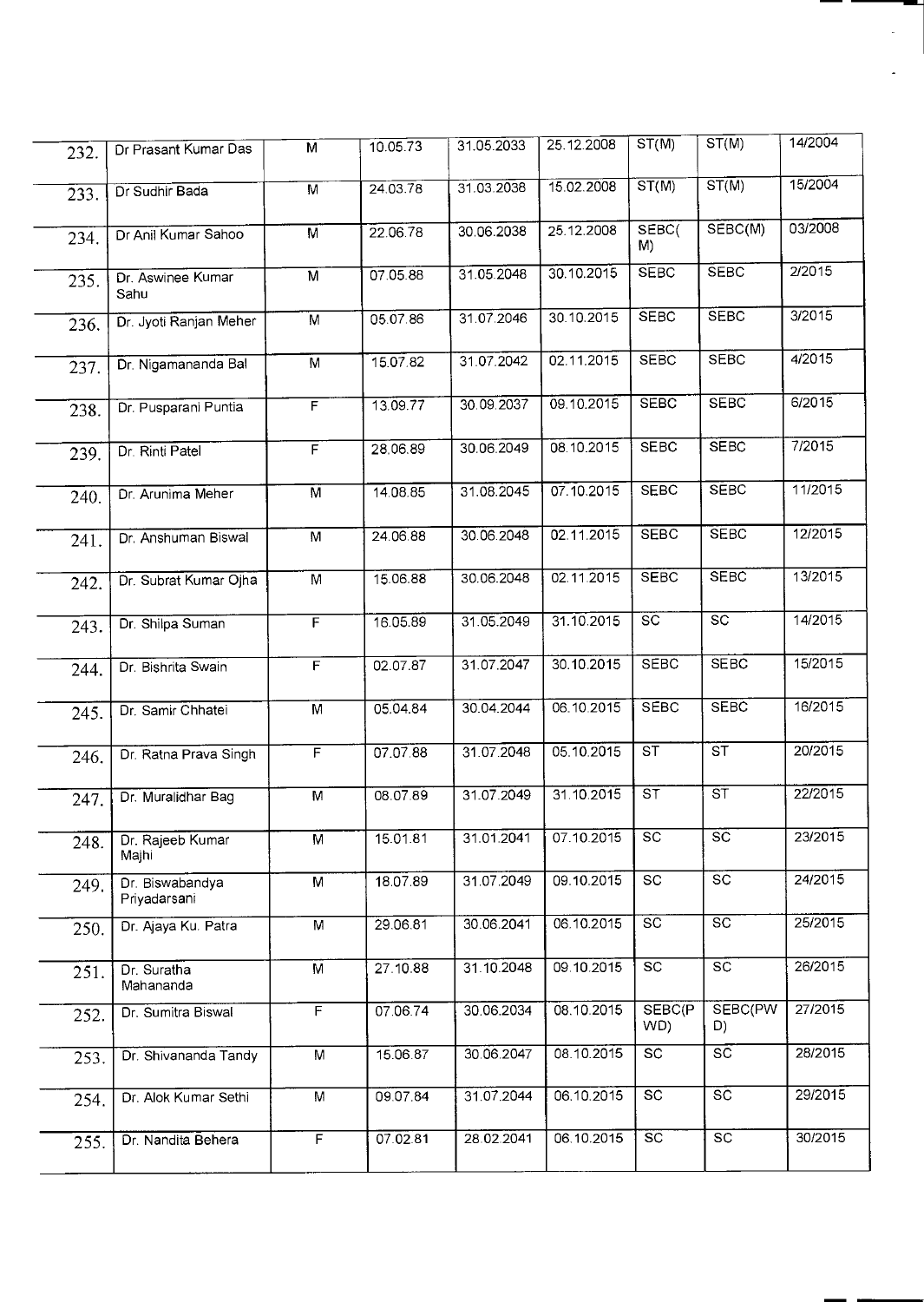| 232. | Dr Prasant Kumar Das            | M                       | 10.05.73 | 31.05.2033 | 25.12.2008 | ST(M)                  | ST(M)                     | 14/2004 |
|------|---------------------------------|-------------------------|----------|------------|------------|------------------------|---------------------------|---------|
| 233. | Dr Sudhir Bada                  | $\overline{M}$          | 24.03.78 | 31.03.2038 | 15.02.2008 | ST(M)                  | ST(M)                     | 15/2004 |
| 234. | Dr Anil Kumar Sahoo             | M                       | 22.06.78 | 30.06.2038 | 25.12.2008 | SEBC(<br>M)            | SEBC(M)                   | 03/2008 |
| 235. | Dr. Aswinee Kumar<br>Sahu       | $\overline{M}$          | 07.05.88 | 31.05.2048 | 30.10.2015 | <b>SEBC</b>            | <b>SEBC</b>               | 2/2015  |
| 236. | Dr. Jyoti Ranjan Meher          | $\overline{M}$          | 05.07.86 | 31.07.2046 | 30.10.2015 | <b>SEBC</b>            | <b>SEBC</b>               | 3/2015  |
| 237. | Dr. Nigamananda Bal             | M                       | 15.07.82 | 31.07.2042 | 02.11.2015 | <b>SEBC</b>            | <b>SEBC</b>               | 4/2015  |
| 238. | Dr. Pusparani Puntia            | F                       | 13.09.77 | 30.09.2037 | 09.10.2015 | <b>SEBC</b>            | <b>SEBC</b>               | 6/2015  |
| 239. | Dr. Rinti Patel                 | F                       | 28,06.89 | 30.06.2049 | 08.10.2015 | <b>SEBC</b>            | <b>SEBC</b>               | 7/2015  |
| 240. | Dr. Arunima Meher               | M                       | 14.08.85 | 31.08.2045 | 07.10.2015 | <b>SEBC</b>            | <b>SEBC</b>               | 11/2015 |
| 241. | Dr. Anshuman Biswal             | $\overline{\mathsf{M}}$ | 24.06.88 | 30.06.2048 | 02.11.2015 | <b>SEBC</b>            | <b>SEBC</b>               | 12/2015 |
| 242. | Dr. Subrat Kumar Ojha           | $\overline{M}$          | 15.06.88 | 30.06.2048 | 02.11.2015 | <b>SEBC</b>            | <b>SEBC</b>               | 13/2015 |
| 243. | Dr. Shilpa Suman                | F                       | 16.05.89 | 31.05.2049 | 31.10.2015 | $\overline{SC}$        | $\overline{SC}$           | 14/2015 |
| 244. | Dr. Bishrita Swain              | F                       | 02.07.87 | 31.07.2047 | 30.10.2015 | <b>SEBC</b>            | <b>SEBC</b>               | 15/2015 |
| 245. | Dr. Samir Chhatei               | M                       | 05.04.84 | 30.04.2044 | 06.10.2015 | <b>SEBC</b>            | <b>SEBC</b>               | 16/2015 |
| 246. | Dr. Ratna Prava Singh           | F                       | 07.07.88 | 31.07.2048 | 05.10.2015 | $\overline{\text{ST}}$ | $\overline{\text{ST}}$    | 20/2015 |
| 247. | Dr. Muralidhar Bag              | $\overline{M}$          | 08.07.89 | 31.07.2049 | 31.10.2015 | $\overline{\text{ST}}$ | $\overline{\mathsf{s}}$ T | 22/2015 |
| 248. | Dr. Rajeeb Kumar<br>Majhi       | $\overline{\mathsf{M}}$ | 15.01.81 | 31.01.2041 | 07.10.2015 | $\overline{SC}$        | $\overline{\text{sc}}$    | 23/2015 |
| 249. | Dr. Biswabandya<br>Priyadarsani | M                       | 18.07.89 | 31.07.2049 | 09.10.2015 | SC                     | SC                        | 24/2015 |
| 250. | Dr. Ajaya Ku. Patra             | M                       | 29.06.81 | 30.06.2041 | 06.10.2015 | $\overline{SC}$        | $\overline{SC}$           | 25/2015 |
| 251. | Dr. Suratha<br>Mahananda        | M                       | 27.10.88 | 31.10.2048 | 09.10.2015 | SC                     | $\overline{SC}$           | 26/2015 |
| 252. | Dr. Sumitra Biswal              | $\overline{F}$          | 07.06.74 | 30.06.2034 | 08.10.2015 | SEBC(P<br>WD)          | SEBC(PW<br>D)             | 27/2015 |
| 253. | Dr. Shivananda Tandy            | $\overline{M}$          | 15.06.87 | 30.06.2047 | 08.10.2015 | SC                     | $\overline{SC}$           | 28/2015 |
| 254. | Dr. Alok Kumar Sethi            | $\overline{M}$          | 09.07.84 | 31.07.2044 | 06.10.2015 | SC                     | SC                        | 29/2015 |
| 255. | Dr. Nandita Behera              | F                       | 07.02.81 | 28.02.2041 | 06.10.2015 | $\overline{SC}$        | SC                        | 30/2015 |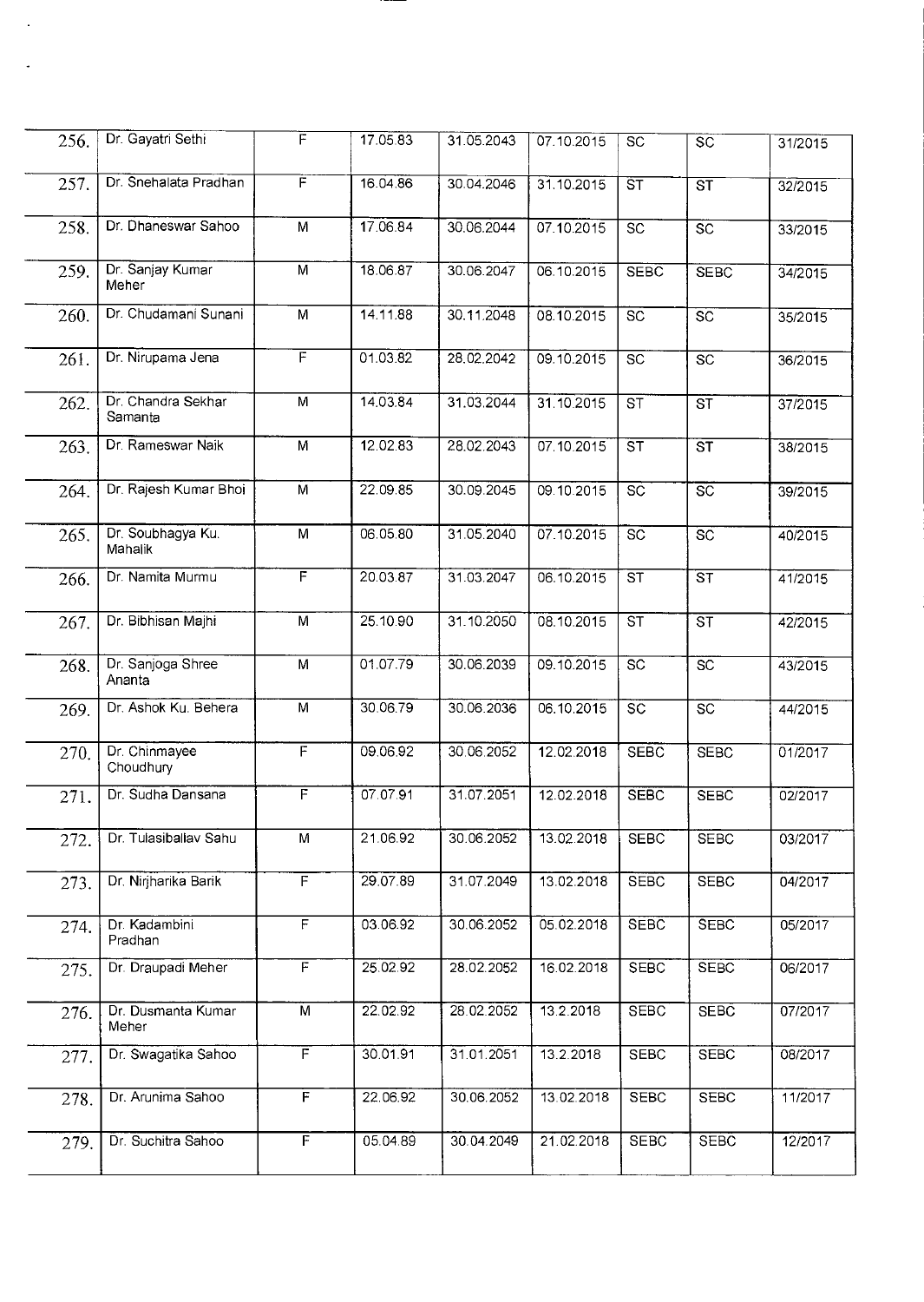| 256. | Dr. Gayatri Sethi             | F                       | 17.05.83 | 31.05.2043 | 07.10.2015 | $\overline{SC}$        | $\overline{sc}$        | 31/2015 |
|------|-------------------------------|-------------------------|----------|------------|------------|------------------------|------------------------|---------|
| 257. | Dr. Snehalata Pradhan         | F                       | 16.04.86 | 30.04.2046 | 31.10.2015 | $\overline{\text{ST}}$ | $\overline{\text{ST}}$ | 32/2015 |
| 258. | Dr. Dhaneswar Sahoo           | M                       | 17.06.84 | 30.06.2044 | 07.10.2015 | $\overline{SC}$        | $\overline{SC}$        | 33/2015 |
| 259. | Dr. Sanjay Kumar<br>Meher     | M                       | 18.06.87 | 30.06.2047 | 06.10.2015 | <b>SEBC</b>            | <b>SEBC</b>            | 34/2015 |
| 260. | Dr. Chudamani Sunani          | M                       | 14.11.88 | 30.11.2048 | 08.10.2015 | $\overline{SC}$        | $\overline{SC}$        | 35/2015 |
| 261. | Dr. Nirupama Jena             | $\overline{\mathsf{F}}$ | 01.03.82 | 28.02.2042 | 09.10.2015 | $\overline{SC}$        | $\overline{SC}$        | 36/2015 |
| 262. | Dr. Chandra Sekhar<br>Samanta | M                       | 14.03.84 | 31.03.2044 | 31.10.2015 | ST                     | $\overline{\text{ST}}$ | 37/2015 |
| 263. | Dr. Rameswar Naik             | M                       | 12.02.83 | 28.02.2043 | 07.10.2015 | $\overline{\text{ST}}$ | $\overline{\text{ST}}$ | 38/2015 |
| 264. | Dr. Rajesh Kumar Bhoi         | $\overline{M}$          | 22.09.85 | 30.09.2045 | 09.10.2015 | $\overline{SC}$        | $\overline{\text{sc}}$ | 39/2015 |
| 265. | Dr. Soubhagya Ku.<br>Mahalik  | M                       | 06.05.80 | 31.05.2040 | 07.10.2015 | $\overline{SC}$        | $\overline{SC}$        | 40/2015 |
| 266. | Dr. Namita Murmu              | $\overline{\mathsf{F}}$ | 20.03.87 | 31.03.2047 | 06.10.2015 | $\overline{\text{ST}}$ | $\overline{\text{ST}}$ | 41/2015 |
| 267. | Dr. Bibhisan Majhi            | $\overline{M}$          | 25.10.90 | 31.10.2050 | 08.10.2015 | $\overline{\text{ST}}$ | $\overline{\text{ST}}$ | 42/2015 |
| 268. | Dr. Sanjoga Shree<br>Ananta   | M                       | 01.07.79 | 30.06.2039 | 09.10.2015 | $\overline{SC}$        | $\overline{SC}$        | 43/2015 |
| 269. | Dr. Ashok Ku. Behera          | M                       | 30.06.79 | 30.06.2036 | 06.10.2015 | $\overline{SC}$        | $\overline{SC}$        | 44/2015 |
| 270. | Dr. Chinmayee<br>Choudhury    | F                       | 09.06.92 | 30.06.2052 | 12.02.2018 | <b>SEBC</b>            | <b>SEBC</b>            | 01/2017 |
| 271. | Dr. Sudha Dansana             | F                       | 07.07.91 | 31.07.2051 | 12.02.2018 | <b>SEBC</b>            | <b>SEBC</b>            | 02/2017 |
| 272. | Dr. Tulasiballav Sahu         | M                       | 21.06.92 | 30.06.2052 | 13.02.2018 | <b>SEBC</b>            | <b>SEBC</b>            | 03/2017 |
| 273. | Dr. Nirjharika Barik          | $\overline{F}$          | 29.07.89 | 31.07.2049 | 13.02.2018 | <b>SEBC</b>            | <b>SEBC</b>            | 04/2017 |
| 274. | Dr. Kadambini<br>Pradhan      | F                       | 03.06.92 | 30.06.2052 | 05.02.2018 | <b>SEBC</b>            | <b>SEBC</b>            | 05/2017 |
| 275. | Dr. Draupadi Meher            | F                       | 25.02.92 | 28.02.2052 | 16.02.2018 | <b>SEBC</b>            | <b>SEBC</b>            | 06/2017 |
| 276. | Dr. Dusmanta Kumar<br>Meher   | $\overline{M}$          | 22.02.92 | 28.02.2052 | 13.2.2018  | <b>SEBC</b>            | <b>SEBC</b>            | 07/2017 |
| 277. | Dr. Swagatika Sahoo           | $\overline{\mathsf{F}}$ | 30.01.91 | 31.01.2051 | 13.2.2018  | <b>SEBC</b>            | <b>SEBC</b>            | 08/2017 |
| 278. | Dr. Arunima Sahoo             | F                       | 22.06.92 | 30.06.2052 | 13.02.2018 | <b>SEBC</b>            | <b>SEBC</b>            | 11/2017 |
| 279. | Dr. Suchitra Sahoo            | $\overline{F}$          | 05.04.89 | 30.04.2049 | 21.02.2018 | <b>SEBC</b>            | <b>SEBC</b>            | 12/2017 |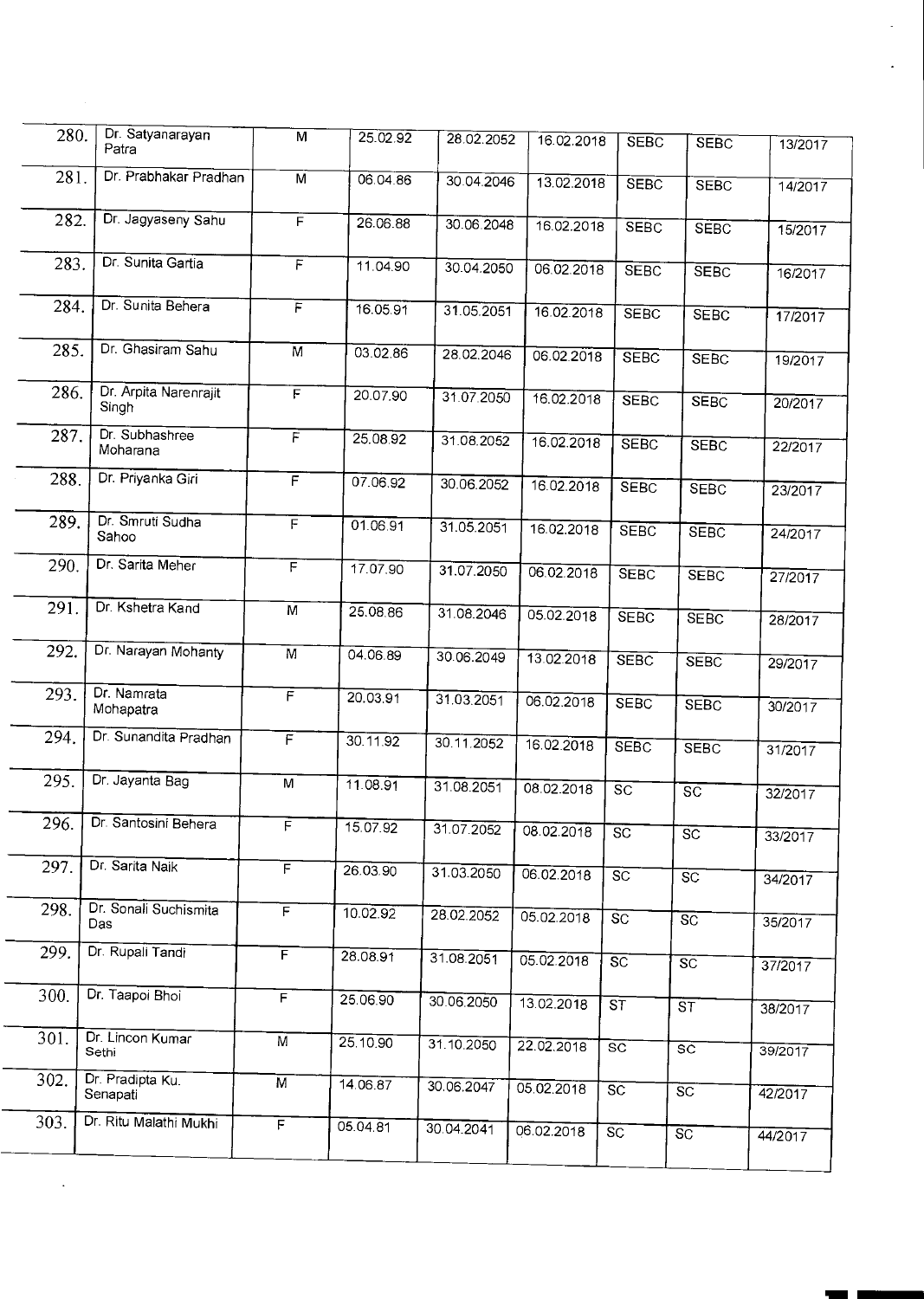| 280. | Dr. Satyanarayan<br>Patra      | M                       | 25.02.92 | 28.02.2052 | 16.02.2018 | SEBC                                  | <b>SEBC</b>            | 13/2017 |  |
|------|--------------------------------|-------------------------|----------|------------|------------|---------------------------------------|------------------------|---------|--|
| 281. | Dr. Prabhakar Pradhan          | M                       | 06.04.86 | 30.04.2046 | 13.02.2018 | <b>SEBC</b>                           | <b>SEBC</b>            | 14/2017 |  |
| 282. | Dr. Jagyaseny Sahu             | F                       | 26.06.88 | 30.06.2048 | 16.02.2018 | <b>SEBC</b>                           | <b>SEBC</b>            | 15/2017 |  |
| 283. | Dr. Sunita Gartia              | $\overline{F}$          | 11.04.90 | 30.04.2050 | 06.02.2018 | <b>SEBC</b>                           | <b>SEBC</b>            | 16/2017 |  |
| 284. | Dr. Sunita Behera              | $\overline{F}$          | 16.05.91 | 31.05.2051 | 16.02.2018 | <b>SEBC</b>                           | <b>SEBC</b>            | 17/2017 |  |
| 285. | Dr. Ghasiram Sahu              | $\overline{M}$          | 03.02.86 | 28.02.2046 | 06.02.2018 | <b>SEBC</b>                           | <b>SEBC</b>            | 19/2017 |  |
| 286. | Dr. Arpita Narenrajit<br>Singh | F                       | 20.07.90 | 31.07.2050 | 16.02.2018 | <b>SEBC</b>                           | <b>SEBC</b>            | 20/2017 |  |
| 287. | Dr. Subhashree<br>Moharana     | F                       | 25.08.92 | 31.08.2052 | 16.02.2018 | <b>SEBC</b>                           | <b>SEBC</b>            | 22/2017 |  |
| 288. | Dr. Priyanka Giri              | $\overline{F}$          | 07.06.92 | 30.06.2052 | 16.02.2018 | <b>SEBC</b>                           | <b>SEBC</b>            | 23/2017 |  |
| 289. | Dr. Smruti Sudha<br>Sahoo      | $\overline{F}$          | 01.06.91 | 31.05.2051 | 16.02.2018 | <b>SEBC</b>                           | <b>SEBC</b>            | 24/2017 |  |
| 290. | Dr. Sarita Meher               | $\overline{\mathsf{F}}$ | 17.07.90 | 31.07.2050 | 06.02.2018 | <b>SEBC</b>                           | <b>SEBC</b>            | 27/2017 |  |
| 291. | Dr. Kshetra Kand               | $\overline{M}$          | 25.08.86 | 31.08.2046 | 05.02.2018 | <b>SEBC</b>                           | <b>SEBC</b>            | 28/2017 |  |
| 292. | Dr. Narayan Mohanty            | M                       | 04.06.89 | 30.06.2049 | 13.02.2018 | <b>SEBC</b>                           | <b>SEBC</b>            | 29/2017 |  |
| 293. | Dr. Namrata<br>Mohapatra       | F                       | 20.03.91 | 31.03.2051 | 06.02.2018 | <b>SEBC</b>                           | <b>SEBC</b>            | 30/2017 |  |
| 294. | Dr. Sunandita Pradhan          | $\overline{F}$          | 30.11.92 | 30.11.2052 | 16.02.2018 | <b>SEBC</b>                           | <b>SEBC</b>            | 31/2017 |  |
| 295. | Dr. Jayanta Bag                | M                       | 11.08.91 | 31.08.2051 | 08.02.2018 | $\overline{SC}$                       | $\overline{SC}$        | 32/2017 |  |
| 296. | Dr. Santosini Behera           | $\overline{F}$          | 15.07.92 | 31.07.2052 | 08.02.2018 | SC                                    | SC                     | 33/2017 |  |
| 297. | Dr. Sarita Naik                | $\overline{F}$          | 26.03.90 | 31.03.2050 | 06.02.2018 | $S\overline{C}$                       | SC                     | 34/2017 |  |
| 298. | Dr. Sonali Suchismita<br>Das   | $\overline{F}$          | 10.02.92 | 28.02.2052 | 05.02.2018 | $\overline{SC}$                       | $\overline{SC}$        | 35/2017 |  |
| 299. | Dr. Rupali Tandi               | $\overline{F}$          | 28.08.91 | 31.08.2051 | 05.02.2018 | SC                                    | SC                     | 37/2017 |  |
| 300. | Dr. Taapoi Bhoi                | $\overline{F}$          | 25.06.90 | 30.06.2050 | 13.02.2018 | $\overline{\mathsf{s} \mathsf{\tau}}$ | <b>ST</b>              | 38/2017 |  |
| 301. | Dr. Lincon Kumar<br>Sethi      | M                       | 25.10.90 | 31.10.2050 | 22.02.2018 | $\overline{sc}$                       | $\overline{\text{sc}}$ | 39/2017 |  |
| 302. | Dr. Pradipta Ku.<br>Senapati   | $\overline{M}$          | 14.06.87 | 30.06.2047 | 05.02.2018 | SC                                    | SC                     | 42/2017 |  |
| 303. | Dr. Ritu Malathi Mukhi         | $\overline{F}$          | 05.04.81 | 30.04.2041 | 06.02.2018 | $\overline{SC}$                       | $\overline{SC}$        | 44/2017 |  |
|      |                                |                         |          |            |            |                                       |                        |         |  |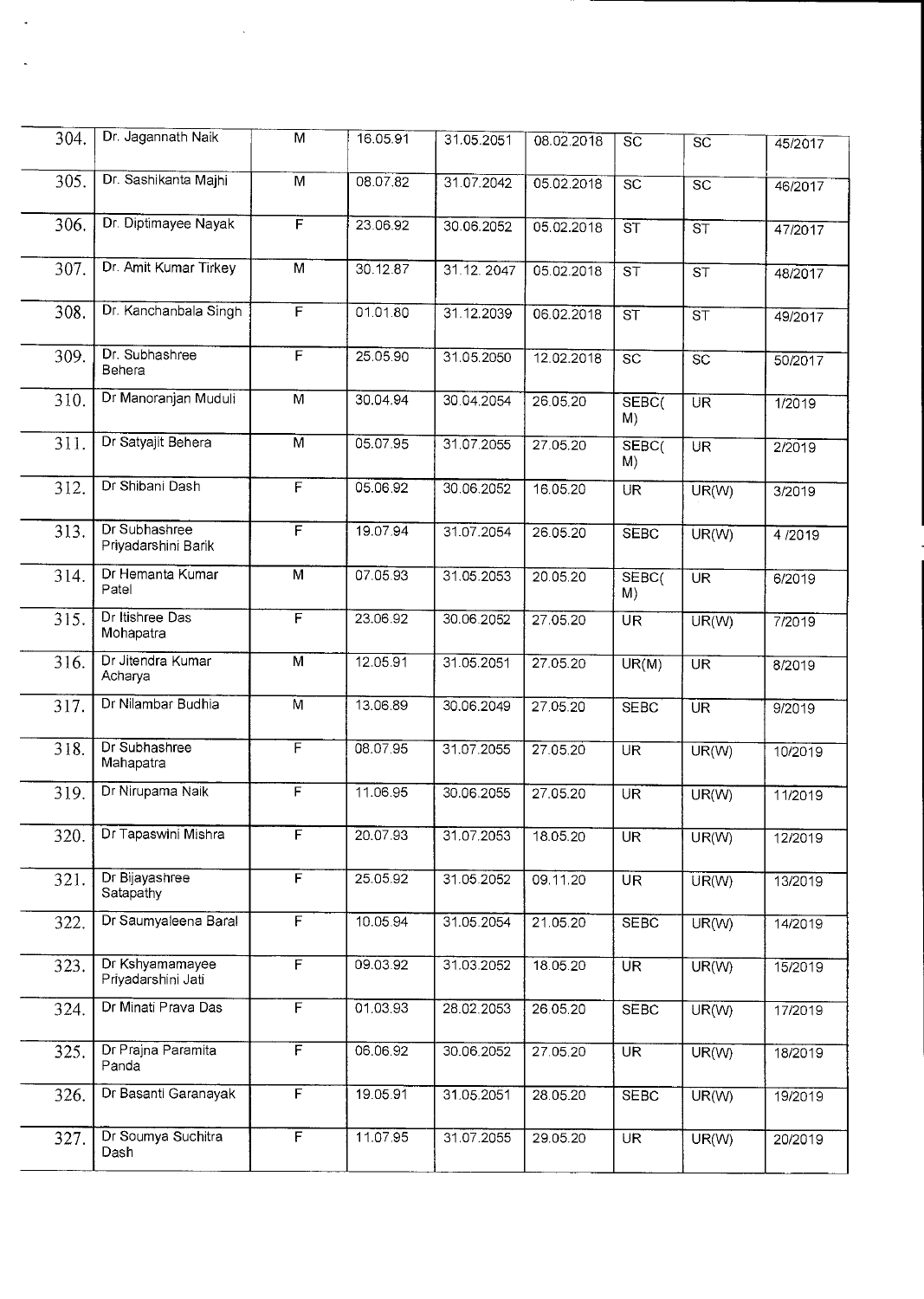| 304. | Dr. Jagannath Naik                    | $\overline{M}$          | 16.05.91 | 31.05.2051 | 08.02.2018 | $\overline{\text{sc}}$   | $\overline{sc}$                   | 45/2017 |
|------|---------------------------------------|-------------------------|----------|------------|------------|--------------------------|-----------------------------------|---------|
| 305. | Dr. Sashikanta Majhi                  | $\overline{M}$          | 08.07.82 | 31.07.2042 | 05.02.2018 | $\overline{SC}$          | $\overline{sc}$                   | 46/2017 |
| 306. | Dr. Diptimayee Nayak                  | F                       | 23.06.92 | 30.06.2052 | 05.02.2018 | $\overline{\text{ST}}$   | $\overline{\mathsf{s}\mathsf{T}}$ | 47/2017 |
| 307. | Dr. Amit Kumar Tirkey                 | $\overline{M}$          | 30.12.87 | 31.12.2047 | 05.02.2018 | ST                       | $\overline{\text{ST}}$            | 48/2017 |
| 308. | Dr. Kanchanbala Singh                 | F                       | 01.01.80 | 31.12.2039 | 06.02.2018 | $\overline{\text{ST}}$   | $\overline{\text{s} \tau}$        | 49/2017 |
| 309. | Dr. Subhashree<br>Behera              | $\overline{F}$          | 25.05.90 | 31.05.2050 | 12.02.2018 | $\overline{SC}$          | $\overline{SC}$                   | 50/2017 |
| 310. | Dr Manoranjan Muduli                  | $\overline{M}$          | 30.04.94 | 30.04.2054 | 26.05.20   | SEBC <sub>(</sub><br>M)  | $\overline{\mathsf{UR}}$          | 1/2019  |
| 311. | Dr Satyajit Behera                    | $\overline{M}$          | 05.07.95 | 31.07.2055 | 27.05.20   | SEBC <sub>(</sub><br>M)  | <b>UR</b>                         | 2/2019  |
| 312. | Dr Shibani Dash                       | $\overline{F}$          | 05.06.92 | 30.06.2052 | 16.05.20   | <b>UR</b>                | UR(W)                             | 3/2019  |
| 313. | Dr Subhashree<br>Priyadarshini Barik  | F                       | 19.07.94 | 31.07.2054 | 26.05.20   | <b>SEBC</b>              | UR(W)                             | 4/2019  |
| 314. | Dr Hemanta Kumar<br>Patel             | M                       | 07.05.93 | 31.05.2053 | 20.05.20   | SEBC <sub>(</sub><br>M)  | <b>UR</b>                         | 6/2019  |
| 315. | Dr Itishree Das<br>Mohapatra          | $\overline{F}$          | 23.06.92 | 30.06.2052 | 27.05.20   | $\overline{\mathsf{UR}}$ | UR(W)                             | 7/2019  |
| 316. | Dr Jitendra Kumar<br>Acharya          | $\overline{M}$          | 12.05.91 | 31.05.2051 | 27.05.20   | UR(M)                    | $\overline{\text{UR}}$            | 8/2019  |
| 317. | Dr Nilambar Budhia                    | $\overline{M}$          | 13.06.89 | 30.06.2049 | 27.05.20   | <b>SEBC</b>              | $\overline{\text{UR}}$            | 9/2019  |
| 318. | Dr Subhashree<br>Mahapatra            | F                       | 08.07.95 | 31.07.2055 | 27.05.20   | $\overline{\text{UR}}$   | UR(W)                             | 10/2019 |
| 319. | Dr Nirupama Naik                      | F                       | 11.06.95 | 30.06.2055 | 27.05.20   | <b>UR</b>                | UR(W)                             | 11/2019 |
| 320. | Dr Tapaswini Mishra                   | F                       | 20.07.93 | 31.07.2053 | 18.05.20   | UR <sup>1</sup>          | UR(W)                             | 12/2019 |
| 321. | Dr Bijayashree<br>Satapathy           | F                       | 25.05.92 | 31.05.2052 | 09.11.20   | U <sub>R</sub>           | UR(W)                             | 13/2019 |
| 322. | Dr Saumyaleena Baral                  | $\overline{F}$          | 10.05.94 | 31.05.2054 | 21.05.20   | <b>SEBC</b>              | UR(W)                             | 14/2019 |
| 323. | Dr Kshyamamayee<br>Priyadarshini Jati | $\overline{F}$          | 09.03.92 | 31.03.2052 | 18.05.20   | $\overline{\mathsf{UR}}$ | UR(W)                             | 15/2019 |
| 324. | Dr Minati Prava Das                   | $\overline{F}$          | 01.03.93 | 28.02.2053 | 26.05.20   | <b>SEBC</b>              | UR(W)                             | 17/2019 |
| 325. | Dr Prajna Paramita<br>Panda           | $\overline{\mathsf{F}}$ | 06.06.92 | 30.06.2052 | 27.05.20   | UR <sup>1</sup>          | UR(W)                             | 18/2019 |
| 326. | Dr Basanti Garanayak                  | $\overline{F}$          | 19.05.91 | 31.05.2051 | 28.05.20   | <b>SEBC</b>              | UR(W)                             | 19/2019 |
| 327. | Dr Soumya Suchitra<br>Dash            | $\overline{F}$          | 11.07.95 | 31.07.2055 | 29.05.20   | $\overline{\mathsf{UR}}$ | UR(W)                             | 20/2019 |

 $\ddot{\phantom{a}}$ 

 $\ddot{\phantom{1}}$ 

 $\sim$   $\sim$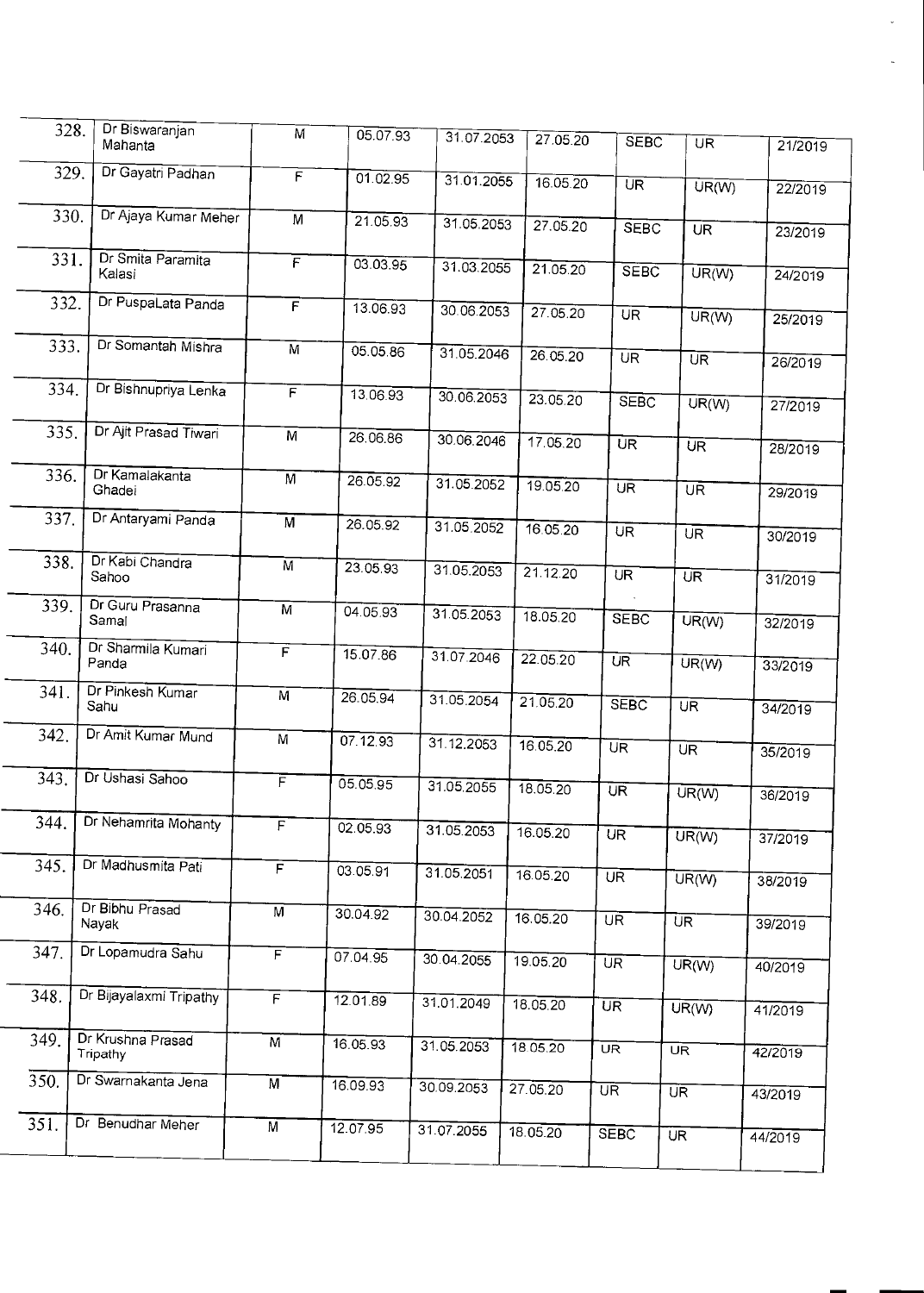| 328. | Dr Biswaranjan<br>Mahanta     | M              | 05.07.93              | 31.07.2053 | 27.05.20 | <b>SEBC</b>              | $\overline{\mathsf{UR}}$ | 21/2019 |  |
|------|-------------------------------|----------------|-----------------------|------------|----------|--------------------------|--------------------------|---------|--|
| 329. | Dr Gayatri Padhan             | $\overline{F}$ | 01.02.95              | 31.01.2055 | 16.05.20 | $\overline{\text{UR}}$   | $UR(\overline{W})$       | 22/2019 |  |
| 330. | Dr Ajaya Kumar Meher          | M              | 21.05.93              |            |          |                          |                          |         |  |
|      |                               |                |                       | 31.05.2053 | 27.05.20 | <b>SEBC</b>              | $U\overline{R}$          | 23/2019 |  |
| 331. | Dr Smita Paramita<br>Kalasi   | $\overline{F}$ | 03.03.95              | 31.03.2055 | 21.05.20 | <b>SEBC</b>              | UR(W)                    | 24/2019 |  |
| 332. | Dr PuspaLata Panda            | $\overline{F}$ | 13.06.93              | 30.06.2053 | 27.05.20 | $\overline{\mathsf{UR}}$ | UR(W)                    | 25/2019 |  |
| 333. | Dr Somantah Mishra            | $\overline{M}$ | 05.05.86              | 31.05.2046 | 26.05.20 | $\overline{\mathsf{UR}}$ | UR                       | 26/2019 |  |
| 334. | Dr Bishnupriya Lenka          | $\overline{F}$ | 13.06.93              | 30.06.2053 | 23.05.20 | <b>SEBC</b>              | UR(W)                    | 27/2019 |  |
| 335. | Dr Ajit Prasad Tiwari         | $\overline{M}$ | 26.06.86              | 30.06.2046 | 17.05.20 | $\overline{\mathsf{UR}}$ | UR                       | 28/2019 |  |
| 336. | Dr Kamalakanta                | $\overline{M}$ | 26.05.92              | 31.05.2052 | 19.05.20 |                          |                          |         |  |
|      | Ghadei                        |                |                       |            |          | $\overline{\mathsf{UR}}$ | $\overline{\mathsf{UR}}$ | 29/2019 |  |
| 337. | Dr Antaryami Panda            | M              | 26.05.92              | 31.05.2052 | 16.05.20 | $U\overline{R}$          | $\overline{UR}$          | 30/2019 |  |
| 338. | Dr Kabi Chandra<br>Sahoo      | $\overline{M}$ | 23.05.93              | 31.05.2053 | 21.12.20 | $\overline{\text{UR}}$   | UR.                      | 31/2019 |  |
| 339. | Dr Guru Prasanna<br>Samal     | $\overline{M}$ | 04.05.93              | 31.05.2053 | 18.05.20 | <b>SEBC</b>              | $UR(\overline{W})$       | 32/2019 |  |
| 340. | Dr Sharmila Kumari<br>Panda   | F              | 15.07.86              | 31.07.2046 | 22.05.20 | UR                       | UR(W)                    | 33/2019 |  |
| 341. | Dr Pinkesh Kumar<br>Sahu      | M              | 26.05.94              | 31.05.2054 | 21.05.20 | <b>SEBC</b>              | $U\overline{R}$          | 34/2019 |  |
| 342. | Dr Amit Kumar Mund            | M              | 07.12.93              | 31.12.2053 | 16.05.20 | UR                       | UR.                      | 35/2019 |  |
| 343. | Dr Ushasi Sahoo               | F              | 05.05.95              | 31.05.2055 | 18.05.20 | $\overline{\text{UR}}$   | UR(W)                    | 36/2019 |  |
| 344. | Dr Nehamrita Mohanty          | F              | 02.05.93              | 31.05.2053 | 16.05.20 | UR                       | UR(W)                    | 37/2019 |  |
| 345. | Dr Madhusmita Pati            | F              | $03.05.\overline{91}$ |            |          |                          |                          |         |  |
|      |                               |                |                       | 31.05.2051 | 16.05.20 | $\overline{\text{UR}}$   | UR(W)                    | 38/2019 |  |
| 346. | Dr Bibhu Prasad<br>Nayak      | M              | 30.04.92              | 30.04.2052 | 16.05.20 | $\overline{\mathsf{UR}}$ | $\overline{\mathsf{UR}}$ | 39/2019 |  |
| 347. | Dr Lopamudra Sahu             | F              | 07.04.95              | 30.04.2055 | 19.05.20 | $\overline{\text{UR}}$   | UR(W)                    | 40/2019 |  |
| 348. | Dr Bijayalaxmi Tripathy       | $\overline{F}$ | 12.01.89              | 31.01.2049 | 18.05.20 | $\overline{\text{UR}}$   | UR(W)                    | 41/2019 |  |
| 349. | Dr Krushna Prasad<br>Tripathy | M              | 16.05.93              | 31.05.2053 | 18.05.20 | UR <sup>T</sup>          | $\overline{\mathsf{UR}}$ | 42/2019 |  |
| 350. | Dr Swarnakanta Jena           | $\overline{M}$ | 16.09.93              | 30.09.2053 | 27.05.20 | $\overline{\mathsf{UR}}$ | UR <sup>1</sup>          | 43/2019 |  |
| 351. | Dr Benudhar Meher             | $\overline{M}$ | 12.07.95              | 31.07.2055 | 18.05.20 | <b>SEBC</b>              | $\overline{\mathsf{UR}}$ | 44/2019 |  |
|      |                               |                |                       |            |          |                          |                          |         |  |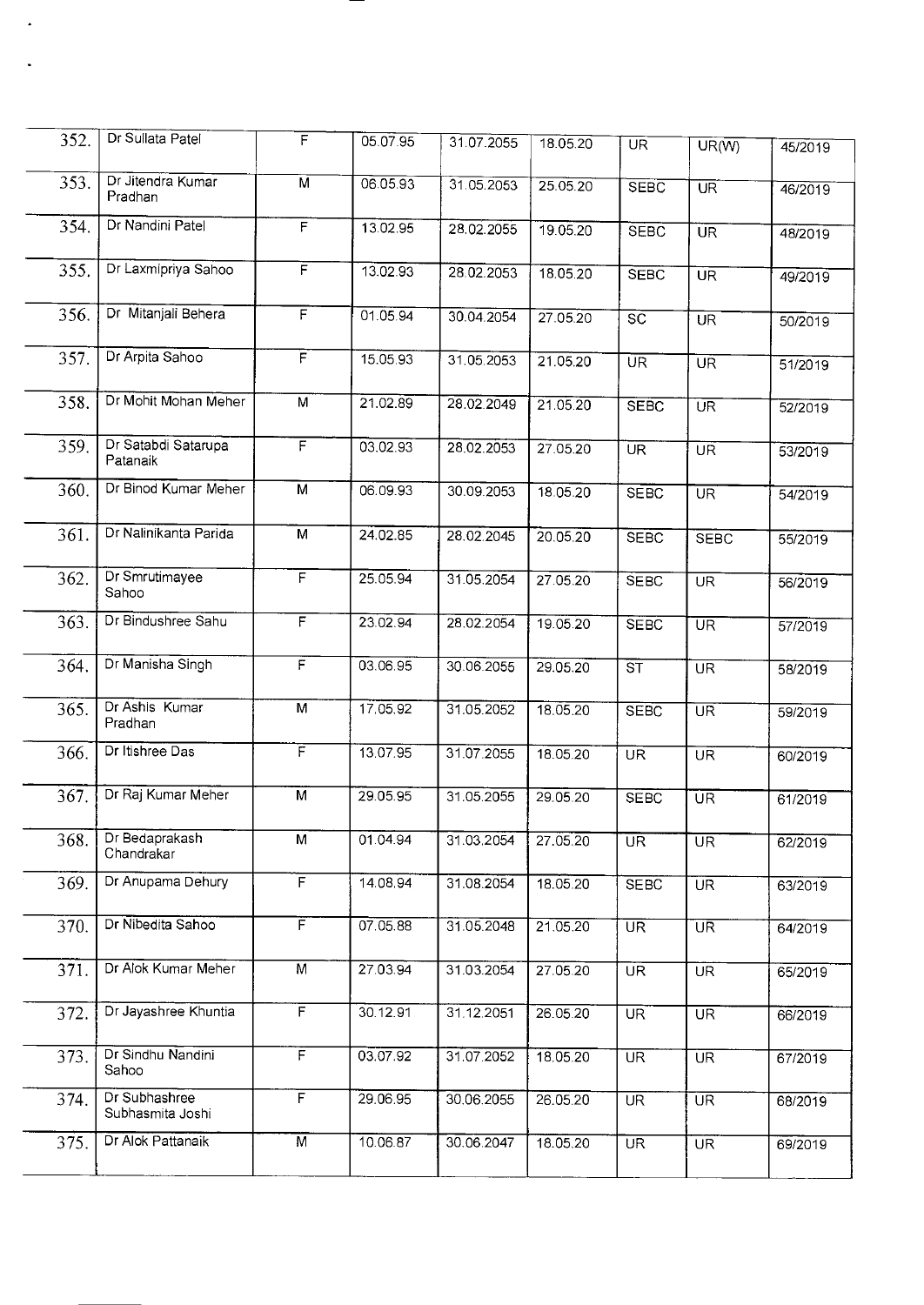| 352. | Dr Sullata Patel                  | F                       | 05.07.95 | 31.07.2055 | 18.05.20 | $\overline{\text{UR}}$   | $UR(\overline{W})$       | 45/2019 |
|------|-----------------------------------|-------------------------|----------|------------|----------|--------------------------|--------------------------|---------|
| 353. | Dr Jitendra Kumar<br>Pradhan      | $\overline{M}$          | 06.05.93 | 31.05.2053 | 25.05.20 | <b>SEBC</b>              | $\overline{\text{UR}}$   | 46/2019 |
| 354. | Dr Nandini Patel                  | F                       | 13.02.95 | 28.02.2055 | 19.05.20 | <b>SEBC</b>              | UR                       | 48/2019 |
| 355. | Dr Laxmipriya Sahoo               | F                       | 13.02.93 | 28.02.2053 | 18.05.20 | <b>SEBC</b>              | $\overline{\mathsf{UR}}$ | 49/2019 |
| 356. | Dr Mitanjali Behera               | F                       | 01.05.94 | 30.04.2054 | 27.05.20 | $\overline{SC}$          | <b>UR</b>                | 50/2019 |
| 357. | Dr Arpita Sahoo                   | $\overline{F}$          | 15.05.93 | 31.05.2053 | 21.05.20 | UR                       | UR                       | 51/2019 |
| 358. | Dr Mohit Mohan Meher              | $\overline{M}$          | 21.02.89 | 28.02.2049 | 21.05.20 | <b>SEBC</b>              | $\overline{\text{UR}}$   | 52/2019 |
| 359. | Dr Satabdi Satarupa<br>Patanaik   | $\overline{\mathsf{F}}$ | 03.02.93 | 28.02.2053 | 27.05.20 | $\overline{\text{UR}}$   | <b>UR</b>                | 53/2019 |
| 360. | Dr Binod Kumar Meher              | $\overline{M}$          | 06.09.93 | 30.09.2053 | 18.05.20 | <b>SEBC</b>              | $\overline{\text{UR}}$   | 54/2019 |
| 361. | Dr Nalinikanta Parida             | $\overline{M}$          | 24.02.85 | 28.02.2045 | 20.05.20 | <b>SEBC</b>              | <b>SEBC</b>              | 55/2019 |
| 362. | Dr Smrutimayee<br>Sahoo           | F                       | 25.05.94 | 31.05.2054 | 27.05.20 | <b>SEBC</b>              | $\overline{\mathsf{UR}}$ | 56/2019 |
| 363. | Dr Bindushree Sahu                | F                       | 23.02.94 | 28.02.2054 | 19.05.20 | <b>SEBC</b>              | $\overline{\text{UR}}$   | 57/2019 |
| 364. | Dr Manisha Singh                  | F                       | 03.06.95 | 30.06.2055 | 29.05.20 | $\overline{\text{ST}}$   | $\overline{\mathsf{UR}}$ | 58/2019 |
| 365. | Dr Ashis Kumar<br>Pradhan         | $\overline{M}$          | 17.05.92 | 31.05.2052 | 18.05.20 | <b>SEBC</b>              | <b>UR</b>                | 59/2019 |
| 366. | Dr Itishree Das                   | F                       | 13.07.95 | 31.07.2055 | 18.05.20 | UR <sup>T</sup>          | UR <sup>T</sup>          | 60/2019 |
| 367. | Dr Raj Kumar Meher                | M                       | 29.05.95 | 31.05.2055 | 29.05.20 | <b>SEBC</b>              | $\overline{\text{UR}}$   | 61/2019 |
| 368. | Dr Bedaprakash<br>Chandrakar      | M                       | 01.04.94 | 31.03.2054 | 27.05.20 | <b>UR</b>                | UR <sup>1</sup>          | 62/2019 |
| 369. | Dr Anupama Dehury                 | F                       | 14.08.94 | 31.08.2054 | 18.05.20 | <b>SEBC</b>              | $\overline{\text{UR}}$   | 63/2019 |
| 370. | Dr Nibedita Sahoo                 | F                       | 07.05.88 | 31.05.2048 | 21.05.20 | $\overline{\text{UR}}$   | UR                       | 64/2019 |
| 371. | Dr Alok Kumar Meher               | $\overline{M}$          | 27.03.94 | 31.03.2054 | 27.05.20 | UR <sup>T</sup>          | $\overline{\mathsf{UR}}$ | 65/2019 |
| 372. | Dr Jayashree Khuntia              | F                       | 30.12.91 | 31.12.2051 | 26.05.20 | UR <sup>"</sup>          | $\overline{\mathsf{UR}}$ | 66/2019 |
| 373. | Dr Sindhu Nandini<br>Sahoo        | F                       | 03.07.92 | 31.07.2052 | 18.05.20 | $\overline{\mathsf{UR}}$ | <b>UR</b>                | 67/2019 |
| 374. | Dr Subhashree<br>Subhasmita Joshi | F                       | 29.06.95 | 30.06.2055 | 26.05.20 | <b>UR</b>                | $\overline{\text{UR}}$   | 68/2019 |
| 375. | Dr Alok Pattanaik                 | $\overline{M}$          | 10.06.87 | 30.06.2047 | 18.05.20 | $\overline{\text{UR}}$   | $\overline{\mathsf{UR}}$ | 69/2019 |
|      |                                   |                         |          |            |          |                          |                          |         |

 $\hat{\mathbf{z}}$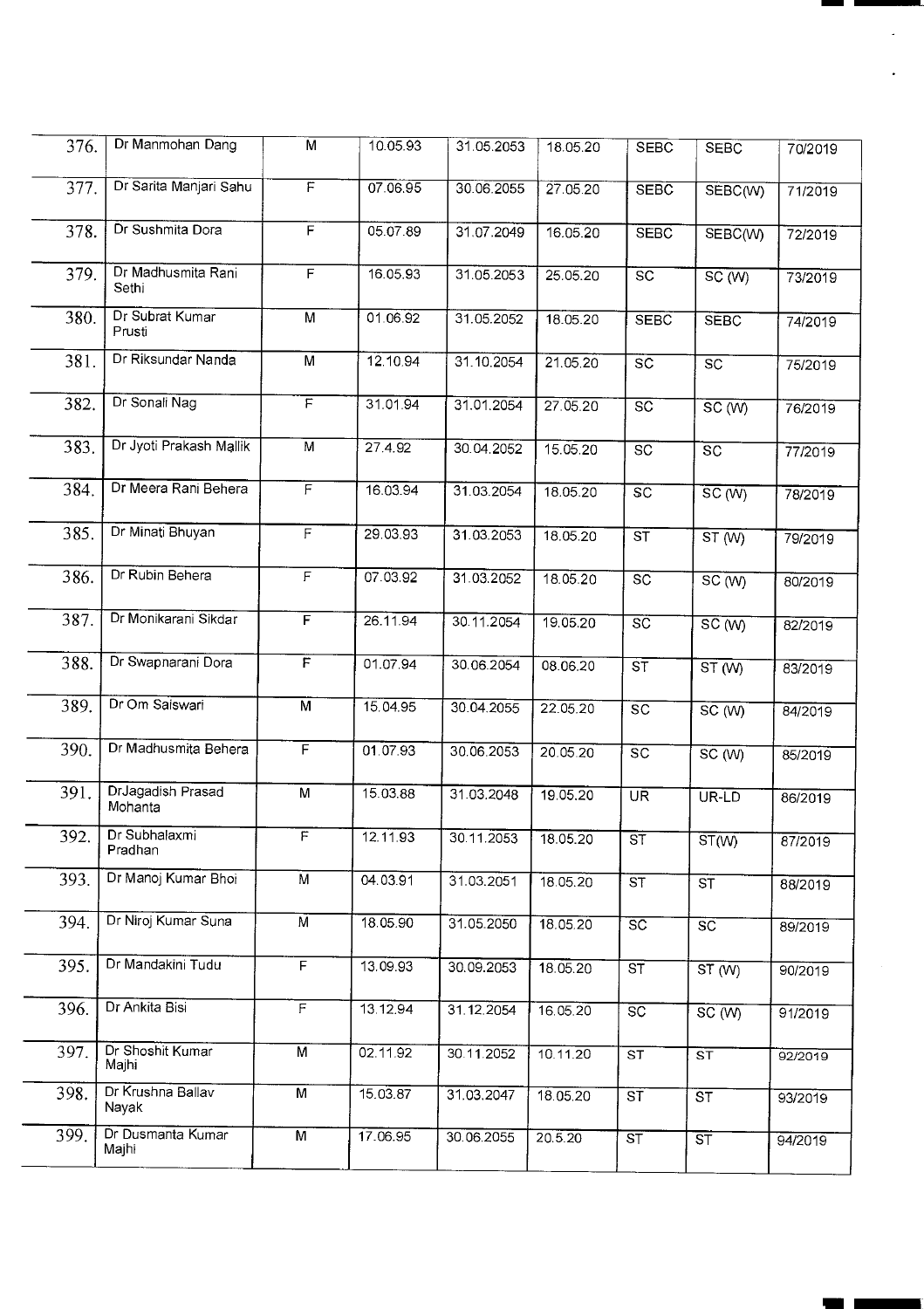| 376. | Dr Manmohan Dang             | $\overline{M}$          | 10.05.93 | 31.05.2053 | 18.05.20 | <b>SEBC</b>                       | <b>SEBC</b>            | 70/2019 |
|------|------------------------------|-------------------------|----------|------------|----------|-----------------------------------|------------------------|---------|
| 377. | Dr Sarita Manjari Sahu       | $\overline{F}$          | 07.06.95 | 30.06.2055 | 27.05.20 | <b>SEBC</b>                       | SEBC(W)                | 71/2019 |
| 378. | Dr Sushmita Dora             | F                       | 05.07.89 | 31.07.2049 | 16.05.20 | <b>SEBC</b>                       | SEBC(W)                | 72/2019 |
| 379. | Dr Madhusmita Rani<br>Sethi  | F                       | 16.05.93 | 31.05.2053 | 25.05.20 | $\overline{\text{sc}}$            | SC(W)                  | 73/2019 |
| 380. | Dr Subrat Kumar<br>Prusti    | M                       | 01.06.92 | 31.05.2052 | 18.05.20 | <b>SEBC</b>                       | <b>SEBC</b>            | 74/2019 |
| 381. | Dr Riksundar Nanda           | $\overline{M}$          | 12.10.94 | 31.10.2054 | 21.05.20 | $\overline{\mathsf{SC}}$          | SC                     | 75/2019 |
| 382. | Dr Sonali Nag                | $\overline{F}$          | 31.01.94 | 31.01.2054 | 27.05.20 | $\overline{SC}$                   | SC(W)                  | 76/2019 |
| 383. | Dr Jyoti Prakash Mallik      | $\overline{M}$          | 27.4.92  | 30.04.2052 | 15.05.20 | $\overline{SC}$                   | $\overline{SC}$        | 77/2019 |
| 384. | Dr Meera Rani Behera         | $\overline{\mathsf{F}}$ | 16.03.94 | 31.03.2054 | 18.05.20 | $\overline{SC}$                   | SC(W)                  | 78/2019 |
| 385. | Dr Minati Bhuyan             | $\overline{F}$          | 29.03.93 | 31.03.2053 | 18.05.20 | $\overline{\mathsf{s}\mathsf{T}}$ | ST(W)                  | 79/2019 |
| 386. | Dr Rubin Behera              | F                       | 07.03.92 | 31.03.2052 | 18.05.20 | $\overline{SC}$                   | SC(W)                  | 80/2019 |
| 387. | Dr Monikarani Sikdar         | F                       | 26.11.94 | 30.11.2054 | 19.05.20 | $\overline{SC}$                   | SC(W)                  | 82/2019 |
| 388. | Dr Swapnarani Dora           | $\overline{F}$          | 01.07.94 | 30.06.2054 | 08.06.20 | $\overline{\mathsf{ST}}$          | ST(W)                  | 83/2019 |
| 389. | Dr Om Saiswari               | $\overline{M}$          | 15.04.95 | 30.04.2055 | 22.05.20 | $\overline{SC}$                   | SC(W)                  | 84/2019 |
| 390. | Dr Madhusmita Behera         | $\overline{F}$          | 01.07.93 | 30.06.2053 | 20.05.20 | $\overline{SC}$                   | SC(W)                  | 85/2019 |
| 391. | DrJagadish Prasad<br>Mohanta | M                       | 15.03.88 | 31.03.2048 | 19.05.20 | UR <sup>T</sup>                   | UR-LD                  | 86/2019 |
| 392. | Dr Subhalaxmi<br>Pradhan     | $\overline{F}$          | 12.11.93 | 30.11.2053 | 18.05.20 | ST                                | ST(W)                  | 87/2019 |
| 393. | Dr Manoj Kumar Bhoi          | M                       | 04.03.91 | 31.03.2051 | 18.05.20 | $\overline{\text{ST}}$            | ST                     | 88/2019 |
| 394. | Dr Niroj Kumar Suna          | $\overline{M}$          | 18.05.90 | 31.05.2050 | 18.05.20 | $\overline{SC}$                   | $\overline{SC}$        | 89/2019 |
| 395. | Dr Mandakini Tudu            | $\overline{F}$          | 13.09.93 | 30.09.2053 | 18.05.20 | ST                                | ST(W)                  | 90/2019 |
| 396. | Dr Ankita Bisi               | $\overline{F}$          | 13.12.94 | 31.12.2054 | 16.05.20 | $\overline{SC}$                   | SC(W)                  | 91/2019 |
| 397. | Dr Shoshit Kumar<br>Majhi    | $\overline{M}$          | 02.11.92 | 30.11.2052 | 10.11.20 | ST                                | ST                     | 92/2019 |
| 398. | Dr Krushna Ballav<br>Nayak   | M                       | 15.03.87 | 31.03.2047 | 18.05.20 | ST                                | $\overline{\text{ST}}$ | 93/2019 |
| 399. | Dr Dusmanta Kumar<br>Majhi   | M                       | 17.06.95 | 30.06.2055 | 20.5.20  | ST                                | $\overline{\text{ST}}$ | 94/2019 |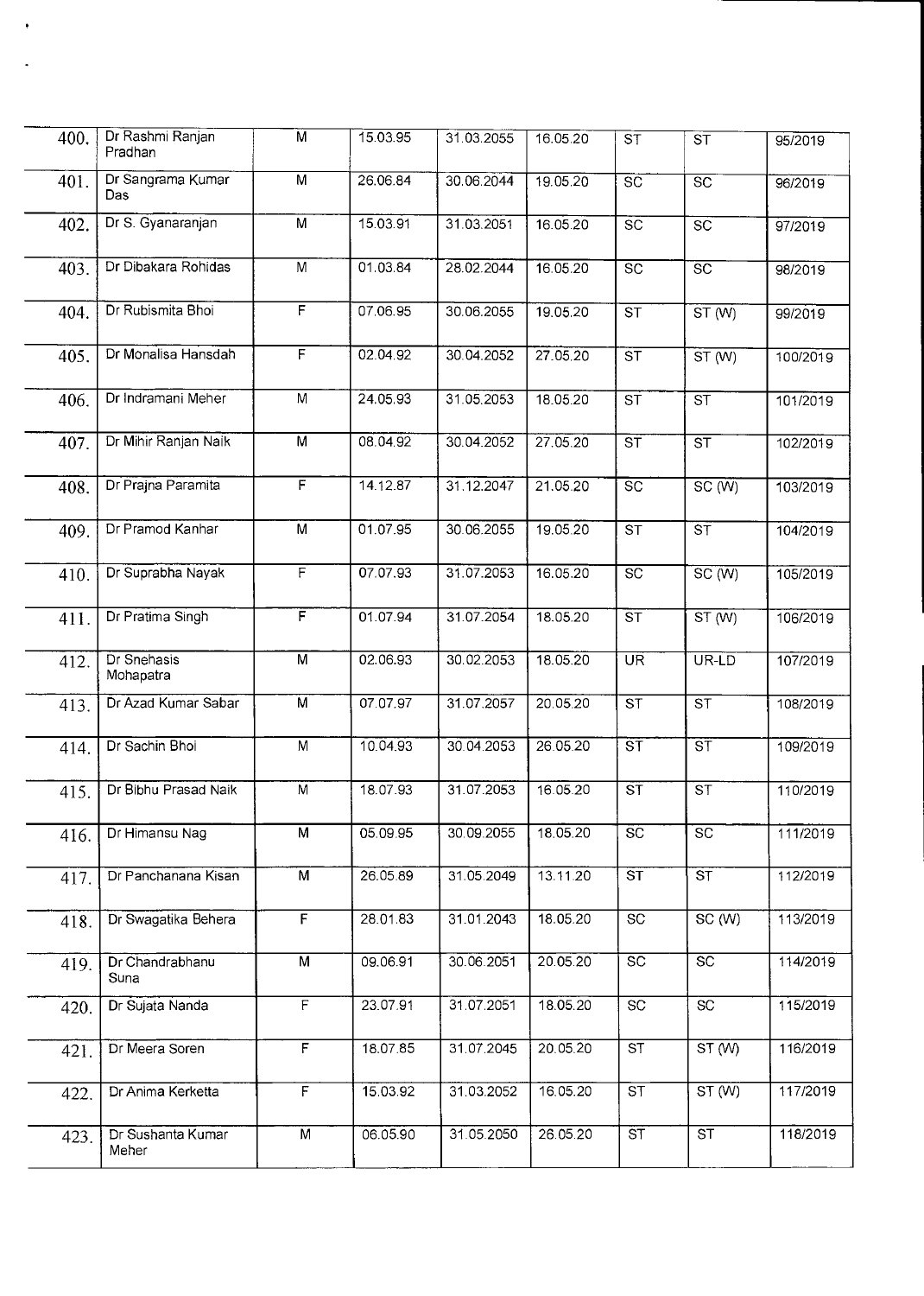| 400. | Dr Rashmi Ranjan<br>Pradhan | $\overline{\mathsf{M}}$ | 15.03.95 | 31.03.2055 | 16.05.20 | $S\overline{T}$          | $\overline{\mathsf{s}}\overline{\mathsf{T}}$ | 95/2019  |
|------|-----------------------------|-------------------------|----------|------------|----------|--------------------------|----------------------------------------------|----------|
| 401. | Dr Sangrama Kumar<br>Das.   | M                       | 26.06.84 | 30.06.2044 | 19.05.20 | $\overline{SC}$          | $\overline{SC}$                              | 96/2019  |
| 402. | Dr S. Gyanaranjan           | M                       | 15.03.91 | 31.03.2051 | 16.05.20 | $\overline{SC}$          | SC                                           | 97/2019  |
| 403. | Dr Dibakara Rohidas         | $\overline{M}$          | 01.03.84 | 28.02.2044 | 16.05.20 | $\overline{SC}$          | $\overline{sc}$                              | 98/2019  |
| 404. | Dr Rubismita Bhoi           | $\overline{F}$          | 07.06.95 | 30.06.2055 | 19.05.20 | $\overline{\text{ST}}$   | ST(W)                                        | 99/2019  |
| 405. | Dr Monalisa Hansdah         | $\overline{F}$          | 02.04.92 | 30.04.2052 | 27.05.20 | $\overline{\text{ST}}$   | ST(W)                                        | 100/2019 |
| 406. | Dr Indramani Meher          | M                       | 24.05.93 | 31.05.2053 | 18.05.20 | $\overline{\mathsf{ST}}$ | ST                                           | 101/2019 |
| 407. | Dr Mihir Ranjan Naik        | М                       | 08.04.92 | 30.04.2052 | 27.05.20 | $\overline{\mathsf{ST}}$ | $\overline{\text{ST}}$                       | 102/2019 |
| 408. | Dr Prajna Paramita          | $\overline{F}$          | 14.12.87 | 31.12.2047 | 21.05.20 | $\overline{SC}$          | SC(W)                                        | 103/2019 |
| 409. | Dr Pramod Kanhar            | M                       | 01.07.95 | 30.06.2055 | 19.05.20 | $\overline{\text{ST}}$   | $\overline{\mathsf{s}\mathsf{T}}$            | 104/2019 |
| 410. | Dr Suprabha Nayak           | F                       | 07.07.93 | 31.07.2053 | 16.05.20 | $\overline{SC}$          | $\overline{SC(W)}$                           | 105/2019 |
| 411. | Dr Pratima Singh            | $\overline{\mathsf{F}}$ | 01.07.94 | 31.07.2054 | 18.05.20 | $\overline{\text{ST}}$   | ST(W)                                        | 106/2019 |
| 412. | Dr Snehasis<br>Mohapatra    | $\overline{M}$          | 02.06.93 | 30.02.2053 | 18.05.20 | UR <sup>T</sup>          | UR-LD                                        | 107/2019 |
| 413. | Dr Azad Kumar Sabar         | $\overline{M}$          | 07.07.97 | 31.07.2057 | 20.05.20 | $\overline{\text{ST}}$   | $\overline{\text{ST}}$                       | 108/2019 |
| 414. | Dr Sachin Bhoi              | $\overline{M}$          | 10.04.93 | 30.04.2053 | 26.05.20 | ST                       | $\overline{\mathsf{ST}}$                     | 109/2019 |
| 415. | Dr Bibhu Prasad Naik        | $\overline{M}$          | 18.07.93 | 31.07.2053 | 16.05.20 | $\overline{\mathsf{ST}}$ | $\overline{\text{ST}}$                       | 110/2019 |
| 416. | Dr Himansu Nag              | M                       | 05.09.95 | 30.09.2055 | 18.05.20 | <b>SC</b>                | <b>SC</b>                                    | 111/2019 |
| 417. | Dr Panchanana Kisan         | M                       | 26.05.89 | 31.05.2049 | 13.11.20 | $\overline{\text{ST}}$   | $\overline{\text{ST}}$                       | 112/2019 |
| 418. | Dr Swagatika Behera         | F                       | 28.01.83 | 31.01.2043 | 18.05.20 | $\overline{SC}$          | SC(W)                                        | 113/2019 |
| 419. | Dr Chandrabhanu<br>Suna     | $\overline{M}$          | 09.06.91 | 30.06.2051 | 20.05.20 | $\overline{SC}$          | $\overline{SC}$                              | 114/2019 |
| 420. | Dr Sujata Nanda             | $\overline{F}$          | 23.07.91 | 31.07.2051 | 18.05.20 | $\overline{SC}$          | $\overline{SC}$                              | 115/2019 |
| 421. | Dr Meera Soren              | $\overline{\mathsf{F}}$ | 18.07.85 | 31.07.2045 | 20.05.20 | $\overline{\text{ST}}$   | ST(W)                                        | 116/2019 |
| 422. | Dr Anima Kerketta           | $\overline{F}$          | 15.03.92 | 31.03.2052 | 16.05.20 | $\overline{\text{ST}}$   | ST(W)                                        | 117/2019 |
| 423. | Dr Sushanta Kumar<br>Meher  | M                       | 06.05.90 | 31.05.2050 | 26.05.20 | $\overline{\mathsf{ST}}$ | ST                                           | 118/2019 |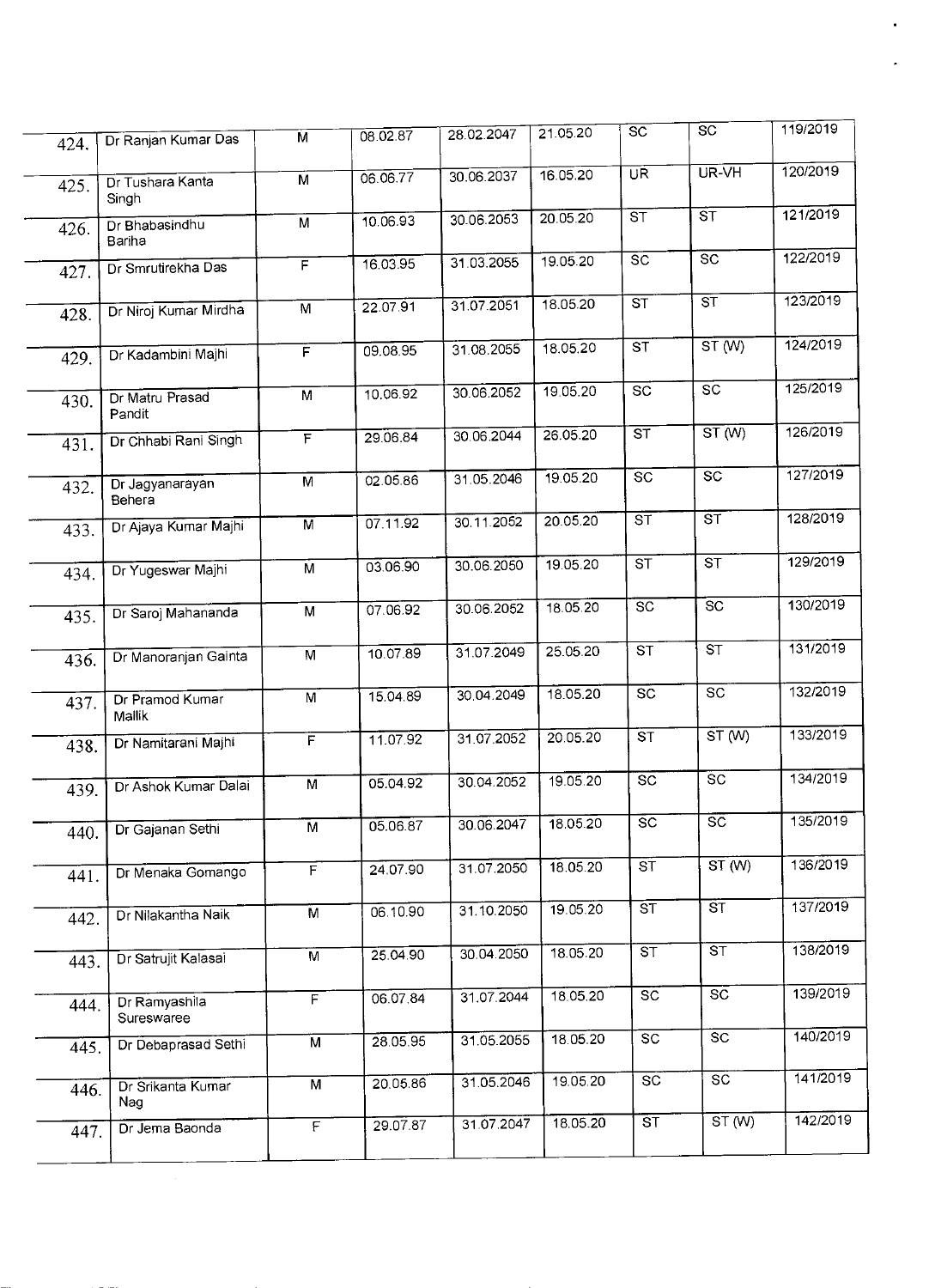|      |                             |                         |          |            | 21.05.20 | SC                                | SC                                       | 119/2019 |
|------|-----------------------------|-------------------------|----------|------------|----------|-----------------------------------|------------------------------------------|----------|
| 424. | Dr Ranjan Kumar Das         | M                       | 08.02.87 | 28.02.2047 |          |                                   |                                          |          |
| 425. | Dr Tushara Kanta<br>Singh   | M                       | 06.06.77 | 30.06.2037 | 16.05.20 | $\overline{\mathsf{UR}}$          | $\overline{\mathsf{UR}}\cdot\mathsf{VH}$ | 120/2019 |
| 426. | Dr Bhabasindhu<br>Bariha    | $\overline{M}$          | 10.06.93 | 30.06.2053 | 20.05.20 | $\overline{\text{ST}}$            | $\overline{\text{s}}$                    | 121/2019 |
| 427. | Dr Smrutirekha Das          | $\overline{F}$          | 16.03.95 | 31.03.2055 | 19.05.20 | $\overline{SC}$                   | $\overline{SC}$                          | 122/2019 |
| 428. | Dr Niroj Kumar Mirdha       | M                       | 22.07.91 | 31.07.2051 | 18.05.20 | $\overline{\text{ST}}$            | $\overline{\text{ST}}$                   | 123/2019 |
| 429. | Dr Kadambini Majhi          | $\overline{F}$          | 09.08.95 | 31.08.2055 | 18.05.20 | $\overline{\text{ST}}$            | ST(W)                                    | 124/2019 |
| 430. | Dr Matru Prasad<br>Pandit   | $\overline{M}$          | 10.06.92 | 30.06.2052 | 19.05.20 | $\overline{SC}$                   | $\overline{SC}$                          | 125/2019 |
| 431. | Dr Chhabi Rani Singh        | $\overline{F}$          | 29.06.84 | 30.06.2044 | 26.05.20 | ST                                | ST(W)                                    | 126/2019 |
| 432. | Dr Jagyanarayan<br>Behera   | M                       | 02.05.86 | 31.05.2046 | 19.05.20 | $\overline{\text{sc}}$            | $\overline{SC}$                          | 127/2019 |
| 433. | Dr Ajaya Kumar Majhi        | $\overline{M}$          | 07.11.92 | 30.11.2052 | 20.05.20 | ST                                | $\overline{\text{ST}}$                   | 128/2019 |
| 434. | Dr Yugeswar Majhi           | M                       | 03.06.90 | 30.06.2050 | 19.05.20 | $\overline{\text{ST}}$            | $\overline{\text{ST}}$                   | 129/2019 |
| 435. | Dr Saroj Mahananda          | $\overline{M}$          | 07.06.92 | 30.06.2052 | 18.05.20 | $\overline{SC}$                   | $\overline{SC}$                          | 130/2019 |
| 436. | Dr Manoranjan Gainta        | M                       | 10.07.89 | 31.07.2049 | 25.05.20 | $\overline{\text{ST}}$            | ST                                       | 131/2019 |
| 437. | Dr Pramod Kumar<br>Mallik   | $\overline{M}$          | 15.04.89 | 30.04.2049 | 18.05.20 | $\overline{sc}$                   | $\overline{SC}$                          | 132/2019 |
| 438. | Dr Namitarani Majhi         | $\overline{\mathsf{F}}$ | 11.07.92 | 31.07.2052 | 20.05.20 | $\overline{\text{ST}}$            | ST(W)                                    | 133/2019 |
| 439. | Dr Ashok Kumar Dalai        | $\overline{M}$          | 05.04.92 | 30.04.2052 | 19.05.20 | $\overline{SC}$                   | $\overline{sc}$                          | 134/2019 |
| 440. | Dr Gajanan Sethi            | M                       | 05.06.87 | 30.06.2047 | 18.05.20 | $\overline{SC}$                   | $\overline{SC}$                          | 135/2019 |
| 441. | Dr Menaka Gomango           | $\overline{F}$          | 24.07.90 | 31.07.2050 | 18.05.20 | $\overline{\mathsf{s}\mathsf{T}}$ | ST(W)                                    | 136/2019 |
| 442. | Dr Nilakantha Naik          | M                       | 06.10.90 | 31.10.2050 | 19.05.20 | $\overline{\text{ST}}$            | $\overline{\text{ST}}$                   | 137/2019 |
| 443. | Dr Satrujit Kalasai         | $\overline{M}$          | 25.04.90 | 30.04.2050 | 18.05.20 | ST                                | ST                                       | 138/2019 |
| 444. | Dr Ramyashila<br>Sureswaree | $\overline{F}$          | 06.07.84 | 31.07.2044 | 18.05.20 | $\overline{SC}$                   | $\overline{SC}$                          | 139/2019 |
| 445. | Dr Debaprasad Sethi         | M                       | 28.05.95 | 31.05.2055 | 18.05.20 | $\overline{SC}$                   | <b>SC</b>                                | 140/2019 |
| 446. | Dr Srikanta Kumar<br>Nag    | $\overline{\mathsf{M}}$ | 20.05.86 | 31.05.2046 | 19.05.20 | $\overline{SC}$                   | $\overline{SC}$                          | 141/2019 |
| 447. | Dr Jema Baonda              | $\overline{F}$          | 29.07.87 | 31.07.2047 | 18.05.20 | $\overline{\text{ST}}$            | ST(W)                                    | 142/2019 |
|      |                             |                         |          |            |          |                                   |                                          |          |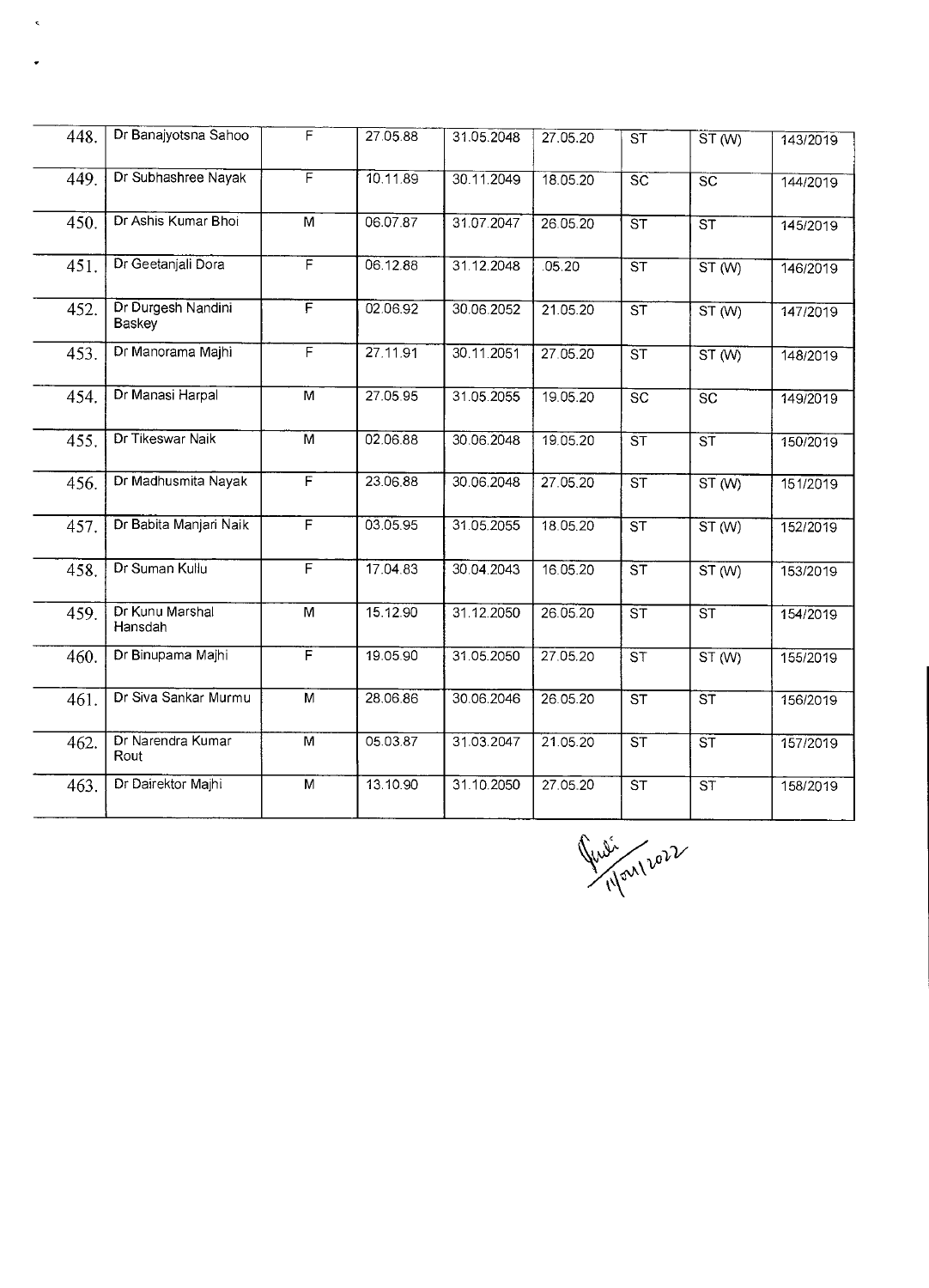| 448. | Dr Banajyotsna Sahoo         | F                       | 27.05.88 | 31.05.2048 | 27.05.20              | $\overline{\text{ST}}$ | ST(W)                    | 143/2019 |
|------|------------------------------|-------------------------|----------|------------|-----------------------|------------------------|--------------------------|----------|
| 449. | Dr Subhashree Nayak          | F                       | 10.11.89 | 30.11.2049 | 18.05.20              | $\overline{SC}$        | $\overline{\text{sc}}$   | 144/2019 |
| 450. | Dr Ashis Kumar Bhoi          | M                       | 06.07.87 | 31.07.2047 | $26.05.\overline{20}$ | $\overline{\text{ST}}$ | $\overline{\text{ST}}$   | 145/2019 |
| 451. | Dr Geetanjali Dora           | $\overline{\mathsf{F}}$ | 06.12.88 | 31.12.2048 | .05.20                | $\overline{\text{ST}}$ | ST(W)                    | 146/2019 |
| 452. | Dr Durgesh Nandini<br>Baskey | F                       | 02.06.92 | 30.06.2052 | 21.05.20              | $\overline{\text{ST}}$ | ST(W)                    | 147/2019 |
| 453. | Dr Manorama Majhi            | F                       | 27.11.91 | 30.11.2051 | 27.05.20              | $\overline{\text{ST}}$ | ST(W)                    | 148/2019 |
| 454. | Dr Manasi Harpal             | $\overline{M}$          | 27.05.95 | 31.05.2055 | 19.05.20              | $\overline{SC}$        | $\overline{SC}$          | 149/2019 |
| 455. | Dr Tikeswar Naik             | $\overline{\mathsf{M}}$ | 02.06.88 | 30.06.2048 | 19.05.20              | $\overline{\text{ST}}$ | $\overline{\text{ST}}$   | 150/2019 |
| 456. | Dr Madhusmita Nayak          | F                       | 23.06.88 | 30.06.2048 | 27.05.20              | ST                     | ST(W)                    | 151/2019 |
| 457. | Dr Babita Manjari Naik       | F                       | 03.05.95 | 31.05.2055 | 18.05.20              | $\overline{\text{ST}}$ | ST(W)                    | 152/2019 |
| 458. | Dr Suman Kullu               | F                       | 17.04.83 | 30.04.2043 | 16.05.20              | $\overline{\text{ST}}$ | ST(W)                    | 153/2019 |
| 459. | Dr Kunu Marshal<br>Hansdah   | M                       | 15.12.90 | 31.12.2050 | 26.05.20              | $\overline{\text{ST}}$ | $\overline{\text{ST}}$   | 154/2019 |
| 460. | Dr Binupama Majhi            | F                       | 19.05.90 | 31.05.2050 | 27.05.20              | $\overline{\text{ST}}$ | ST(W)                    | 155/2019 |
| 461. | Dr Siva Sankar Murmu         | $\overline{M}$          | 28.06.86 | 30.06.2046 | 26.05.20              | $\overline{\text{ST}}$ | $\overline{\text{ST}}$   | 156/2019 |
| 462. | Dr Narendra Kumar<br>Rout    | $\overline{M}$          | 05.03.87 | 31.03.2047 | 21.05.20              | $\overline{\text{ST}}$ | $\overline{\mathsf{ST}}$ | 157/2019 |
| 463. | Dr Dairektor Majhi           | M                       | 13.10.90 | 31.10.2050 | 27.05.20              | $\overline{\text{ST}}$ | $\overline{\mathsf{ST}}$ | 158/2019 |

 $\hat{\mathbf{z}}$ 

 $\cdot$